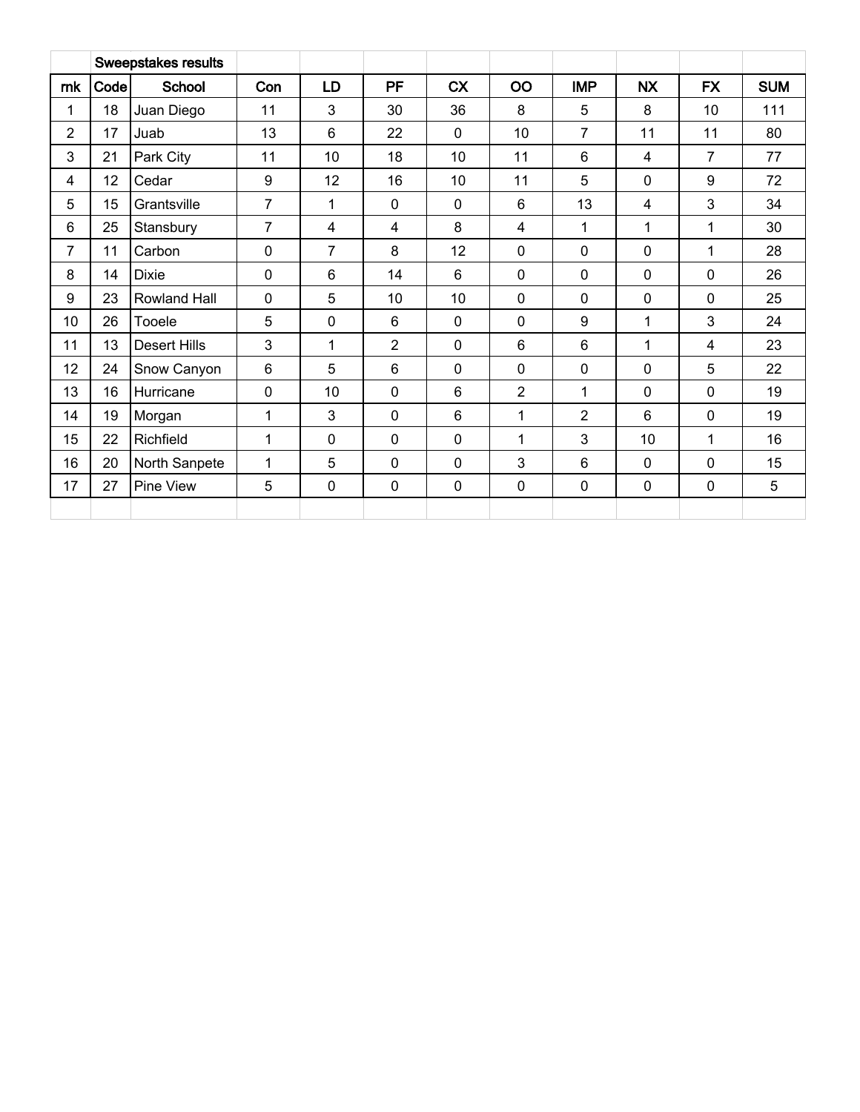|                |      | <b>Sweepstakes results</b> |                |                |                |                |                |                |                |                |            |
|----------------|------|----------------------------|----------------|----------------|----------------|----------------|----------------|----------------|----------------|----------------|------------|
| rnk            | Code | School                     | Con            | LD             | <b>PF</b>      | <b>CX</b>      | OO             | <b>IMP</b>     | <b>NX</b>      | <b>FX</b>      | <b>SUM</b> |
| 1              | 18   | Juan Diego                 | 11             | 3              | 30             | 36             | 8              | 5              | 8              | 10             | 111        |
| $\overline{2}$ | 17   | Juab                       | 13             | $6\phantom{1}$ | 22             | $\mathbf 0$    | 10             | $\overline{7}$ | 11             | 11             | 80         |
| 3              | 21   | Park City                  | 11             | 10             | 18             | 10             | 11             | 6              | $\overline{4}$ | $\overline{7}$ | 77         |
| 4              | 12   | Cedar                      | 9              | 12             | 16             | 10             | 11             | 5              | $\mathbf 0$    | 9              | 72         |
| 5              | 15   | Grantsville                | $\overline{7}$ | 1              | 0              | $\mathbf 0$    | 6              | 13             | 4              | 3              | 34         |
| 6              | 25   | Stansbury                  | 7              | 4              | 4              | 8              | 4              | 1              | 1              | 1              | 30         |
| 7              | 11   | Carbon                     | 0              | 7              | 8              | 12             | $\mathbf 0$    | $\mathbf 0$    | $\mathbf 0$    | 1              | 28         |
| 8              | 14   | <b>Dixie</b>               | $\mathbf 0$    | $6\phantom{1}$ | 14             | $6\phantom{1}$ | $\mathbf 0$    | $\mathbf 0$    | $\mathbf 0$    | $\mathbf 0$    | 26         |
| 9              | 23   | Rowland Hall               | $\mathbf 0$    | 5              | 10             | 10             | $\mathbf 0$    | $\mathbf 0$    | $\mathbf 0$    | $\mathbf 0$    | 25         |
| 10             | 26   | Tooele                     | 5              | $\mathbf 0$    | 6              | $\mathbf 0$    | $\mathbf 0$    | 9              | 1              | 3              | 24         |
| 11             | 13   | <b>Desert Hills</b>        | $\mathbf{3}$   | 1              | $\overline{2}$ | 0              | $6\phantom{1}$ | $6\phantom{1}$ | 1              | 4              | 23         |
| 12             | 24   | Snow Canyon                | $6\phantom{1}$ | 5              | 6              | $\mathbf 0$    | $\mathbf 0$    | $\mathbf 0$    | $\mathbf 0$    | 5              | 22         |
| 13             | 16   | Hurricane                  | $\mathbf 0$    | 10             | 0              | 6              | $\overline{2}$ | 1              | $\mathbf 0$    | $\mathbf 0$    | 19         |
| 14             | 19   | Morgan                     | 1              | 3              | 0              | 6              | 1              | $\overline{2}$ | $6\phantom{1}$ | 0              | 19         |
| 15             | 22   | Richfield                  | 1              | $\mathbf 0$    | 0              | $\mathbf 0$    | 1              | 3              | 10             | 1              | 16         |
| 16             | 20   | North Sanpete              | 1              | 5              | 0              | 0              | 3              | 6              | $\mathbf 0$    | 0              | 15         |
| 17             | 27   | Pine View                  | 5              | $\pmb{0}$      | 0              | $\pmb{0}$      | $\pmb{0}$      | $\mathbf 0$    | $\pmb{0}$      | $\pmb{0}$      | 5          |
|                |      |                            |                |                |                |                |                |                |                |                |            |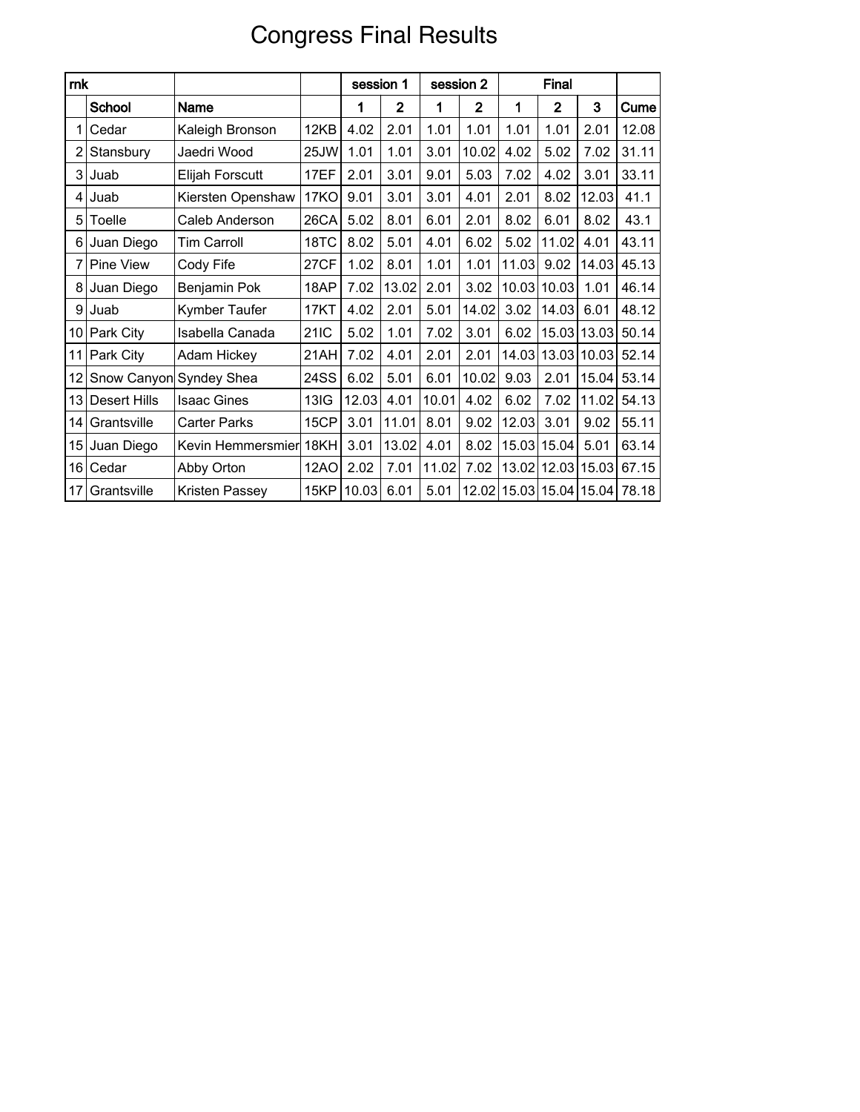# Congress Final Results

| rnk            |                         |                        |             | session 1 |                | session 2 |                |       | Final                   |             |       |
|----------------|-------------------------|------------------------|-------------|-----------|----------------|-----------|----------------|-------|-------------------------|-------------|-------|
|                | School                  | Name                   |             | 1         | $\overline{2}$ | 1         | $\overline{2}$ | 1     | $\overline{2}$          | 3           | Cume  |
| 1              | Cedar                   | Kaleigh Bronson        | 12KB        | 4.02      | 2.01           | 1.01      | 1.01           | 1.01  | 1.01                    | 2.01        | 12.08 |
| 2              | Stansbury               | Jaedri Wood            | 25JW        | 1.01      | 1.01           | 3.01      | 10.02          | 4.02  | 5.02                    | 7.02        | 31.11 |
| 3              | Juab                    | Elijah Forscutt        | 17EF        | 2.01      | 3.01           | 9.01      | 5.03           | 7.02  | 4.02                    | 3.01        | 33.11 |
| $\overline{4}$ | Juab                    | Kiersten Openshaw      | <b>17KO</b> | 9.01      | 3.01           | 3.01      | 4.01           | 2.01  | 8.02                    | 12.03       | 41.1  |
| 5              | Toelle                  | Caleb Anderson         | 26CA        | 5.02      | 8.01           | 6.01      | 2.01           | 8.02  | 6.01                    | 8.02        | 43.1  |
| 61             | Juan Diego              | <b>Tim Carroll</b>     | 18TC        | 8.02      | 5.01           | 4.01      | 6.02           | 5.02  | 11.02                   | 4.01        | 43.11 |
|                | 7 Pine View             | Cody Fife              | 27CF        | 1.02      | 8.01           | 1.01      | 1.01           | 11.03 | 9.02                    | 14.03       | 45.13 |
| 8              | Juan Diego              | Benjamin Pok           | 18AP        | 7.02      | 13.02          | 2.01      | 3.02           | 10.03 | 10.03                   | 1.01        | 46.14 |
| 9 <sup>1</sup> | Juab                    | Kymber Taufer          | 17KT        | 4.02      | 2.01           | 5.01      | 14.02          | 3.02  | 14.03                   | 6.01        | 48.12 |
|                | 10 Park City            | Isabella Canada        | 21IC        | 5.02      | 1.01           | 7.02      | 3.01           | 6.02  |                         | 15.03 13.03 | 50.14 |
| 11             | <b>Park City</b>        | Adam Hickey            | 21AH        | 7.02      | 4.01           | 2.01      | 2.01           |       | 14.03 13.03 10.03       |             | 52.14 |
| 12             | Snow Canyon Syndey Shea |                        | 24SS        | 6.02      | 5.01           | 6.01      | 10.02          | 9.03  | 2.01                    | 15.04       | 53.14 |
| 13             | Desert Hills            | <b>Isaac Gines</b>     | <b>13IG</b> | 12.03     | 4.01           | 10.01     | 4.02           | 6.02  | 7.02                    | 11.02       | 54.13 |
| 14             | Grantsville             | <b>Carter Parks</b>    | 15CP        | 3.01      | 11.01          | 8.01      | 9.02           | 12.03 | 3.01                    | 9.02        | 55.11 |
| 15             | Juan Diego              | Kevin Hemmersmier 18KH |             | 3.01      | 13.02          | 4.01      | 8.02           |       | 15.03 15.04             | 5.01        | 63.14 |
| 16             | Cedar                   | Abby Orton             | <b>12AO</b> | 2.02      | 7.01           | 11.02     | 7.02           |       | 13.02 12.03 15.03       |             | 67.15 |
| 17             | Grantsville             | Kristen Passey         | 15KP        | 10.03     | 6.01           | 5.01      |                |       | 12.02 15.03 15.04 15.04 |             | 78.18 |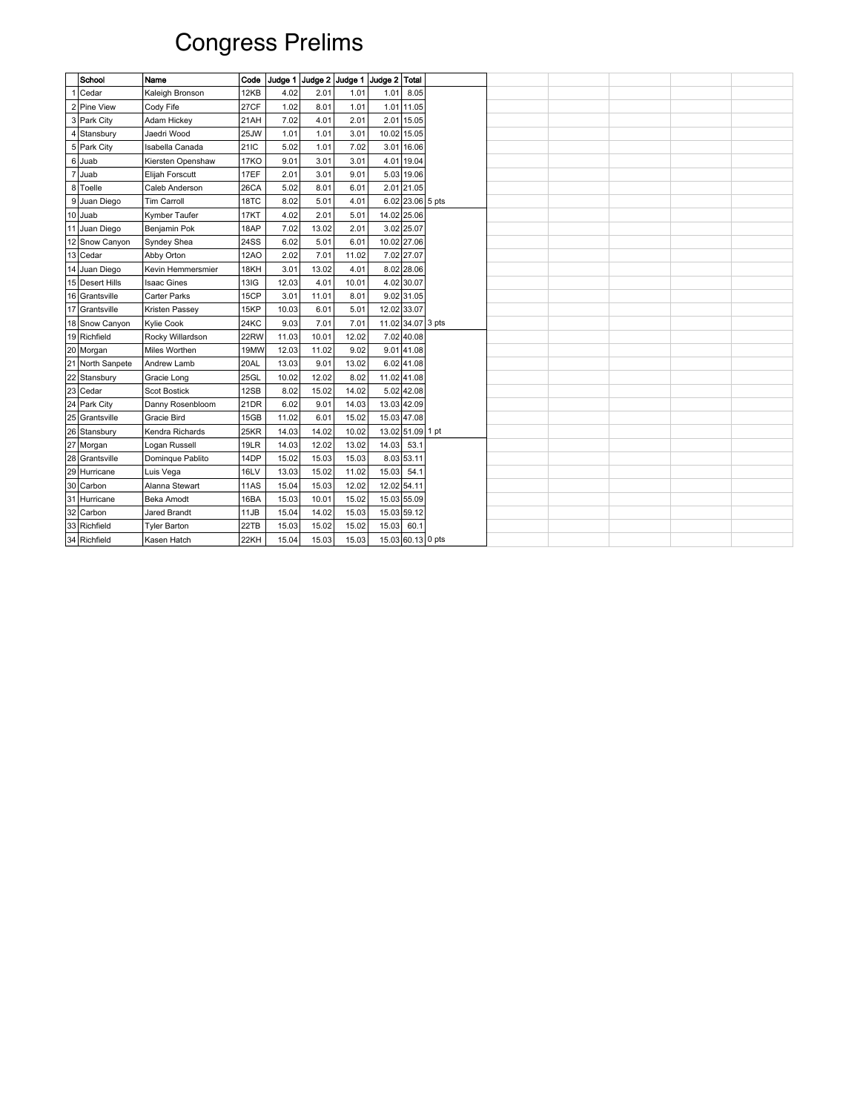# Congress Prelims

| School                   | Name                | Code        |       |       |       | Judge 1 Judge 2 Judge 1 Judge 2 Total |                  |  |  |
|--------------------------|---------------------|-------------|-------|-------|-------|---------------------------------------|------------------|--|--|
| Cedar                    | Kaleigh Bronson     | 12KB        | 4.02  | 2.01  | 1.01  | 1.01                                  | 8.05             |  |  |
| 2 Pine View              | Cody Fife           | 27CF        | 1.02  | 8.01  | 1.01  | 1.01                                  | 11.05            |  |  |
| 3 Park City              | Adam Hickey         | 21AH        | 7.02  | 4.01  | 2.01  | 2.01                                  | 15.05            |  |  |
| 4 Stansbury              | Jaedri Wood         | 25JW        | 1.01  | 1.01  | 3.01  | 10.02                                 | 15.05            |  |  |
| 5 Park City              | Isabella Canada     | 21IC        | 5.02  | 1.01  | 7.02  |                                       | 3.01 16.06       |  |  |
| 6 Juab                   | Kiersten Openshaw   | <b>17KO</b> | 9.01  | 3.01  | 3.01  | 4.01                                  | 19.04            |  |  |
| 7 Juab                   | Elijah Forscutt     | 17EF        | 2.01  | 3.01  | 9.01  |                                       | 5.03 19.06       |  |  |
| 8 Toelle                 | Caleb Anderson      | 26CA        | 5.02  | 8.01  | 6.01  |                                       | 2.01 21.05       |  |  |
| 9 Juan Diego             | <b>Tim Carroll</b>  | 18TC        | 8.02  | 5.01  | 4.01  |                                       | 6.02 23.06 5 pts |  |  |
| 10 Juab                  | Kymber Taufer       | 17KT        | 4.02  | 2.01  | 5.01  | 14.02 25.06                           |                  |  |  |
| 11 Juan Diego            | Benjamin Pok        | 18AP        | 7.02  | 13.02 | 2.01  |                                       | 3.02 25.07       |  |  |
| 12 Snow Canyon           | Syndey Shea         | 24SS        | 6.02  | 5.01  | 6.01  | 10.02 27.06                           |                  |  |  |
| $\boxed{13}$ Cedar       | Abby Orton          | <b>12AO</b> | 2.02  | 7.01  | 11.02 |                                       | 7.02 27.07       |  |  |
| 14 Juan Diego            | Kevin Hemmersmier   | 18KH        | 3.01  | 13.02 | 4.01  |                                       | 8.02 28.06       |  |  |
| 15 Desert Hills          | <b>Isaac Gines</b>  | 13IG        | 12.03 | 4.01  | 10.01 |                                       | 4.02 30.07       |  |  |
| 16 Grantsville           | Carter Parks        | 15CP        | 3.01  | 11.01 | 8.01  |                                       | $9.02$ 31.05     |  |  |
| 17 Grantsville           | Kristen Passey      | 15KP        | 10.03 | 6.01  | 5.01  | 12.02 33.07                           |                  |  |  |
| 18 Snow Canyon           | <b>Kylie Cook</b>   | 24KC        | 9.03  | 7.01  | 7.01  | 11.02 34.07 3 pts                     |                  |  |  |
| 19 Richfield             | Rocky Willardson    | 22RW        | 11.03 | 10.01 | 12.02 |                                       | 7.02 40.08       |  |  |
| 20 Morgan                | Miles Worthen       | 19MW        | 12.03 | 11.02 | 9.02  |                                       | 9.01 41.08       |  |  |
| 21 North Sanpete         | Andrew Lamb         | 20AL        | 13.03 | 9.01  | 13.02 |                                       | 6.02 41.08       |  |  |
|                          | Gracie Long         | 25GL        | 10.02 | 12.02 | 8.02  | 11.02 41.08                           |                  |  |  |
| 22 Stansbury<br>23 Cedar | Scot Bostick        | 12SB        | 8.02  | 15.02 | 14.02 |                                       | 5.02 42.08       |  |  |
| 24 Park City             | Danny Rosenbloom    | 21DR        | 6.02  | 9.01  | 14.03 | 13.03 42.09                           |                  |  |  |
| 25 Grantsville           | Gracie Bird         | 15GB        | 11.02 | 6.01  | 15.02 | 15.03 47.08                           |                  |  |  |
| 26 Stansbury             | Kendra Richards     | 25KR        | 14.03 | 14.02 | 10.02 | 13.02 51.09 1 pt                      |                  |  |  |
| 27 Morgan                | Logan Russell       | 19LR        | 14.03 | 12.02 | 13.02 | 14.03                                 | 53.1             |  |  |
| 28 Grantsville           | Dominque Pablito    | 14DP        | 15.02 | 15.03 | 15.03 |                                       | 8.03 53.11       |  |  |
| 29 Hurricane             | Luis Vega           | <b>16LV</b> | 13.03 | 15.02 | 11.02 | 15.03 54.1                            |                  |  |  |
| 30 Carbon                | Alanna Stewart      | <b>11AS</b> | 15.04 | 15.03 | 12.02 | 12.02 54.11                           |                  |  |  |
| 31 Hurricane             | Beka Amodt          | 16BA        | 15.03 | 10.01 | 15.02 | 15.03 55.09                           |                  |  |  |
| 32 Carbon                | Jared Brandt        | 11JB        | 15.04 | 14.02 | 15.03 | 15.03 59.12                           |                  |  |  |
| 33 Richfield             | <b>Tyler Barton</b> | 22TB        | 15.03 | 15.02 | 15.02 | 15.03                                 | 60.1             |  |  |
| 34 Richfield             | Kasen Hatch         | 22KH        | 15.04 | 15.03 | 15.03 | 15.03 60.13 0 pts                     |                  |  |  |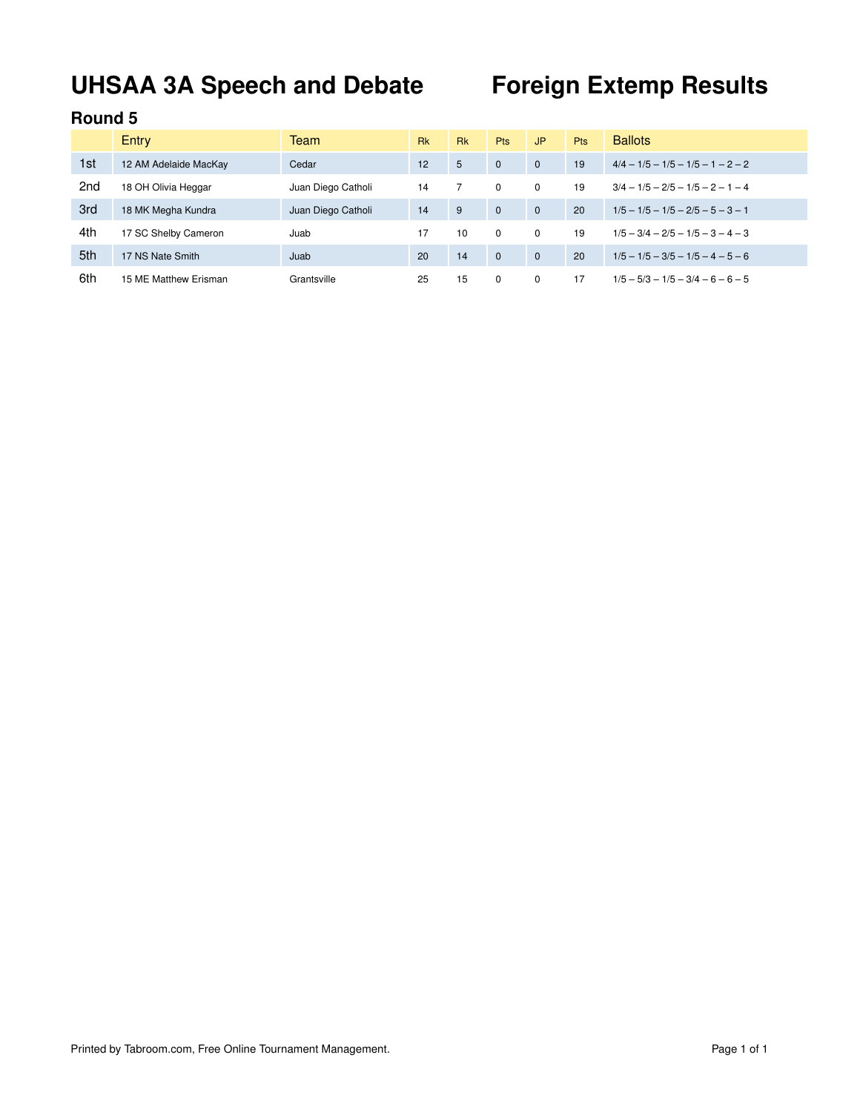# **UHSAA 3A Speech and Debate Foreign Extemp Results**

|                 | Entry                 | Team               | <b>Rk</b> | <b>Rk</b> | <b>Pts</b>   | JP.      | <b>Pts</b> | <b>Ballots</b>                      |
|-----------------|-----------------------|--------------------|-----------|-----------|--------------|----------|------------|-------------------------------------|
| 1st             | 12 AM Adelaide MacKay | Cedar              | 12        | 5         | $\Omega$     | $\Omega$ | 19         | $4/4 - 1/5 - 1/5 - 1/5 - 1 - 2 - 2$ |
| 2 <sub>nd</sub> | 18 OH Olivia Heggar   | Juan Diego Catholi | 14        |           | $\Omega$     | $\Omega$ | 19         | $3/4 - 1/5 - 2/5 - 1/5 - 2 - 1 - 4$ |
| 3rd             | 18 MK Megha Kundra    | Juan Diego Catholi | 14        | 9         | $\mathbf{0}$ | $\Omega$ | 20         | $1/5 - 1/5 - 1/5 - 2/5 - 5 - 3 - 1$ |
| 4th             | 17 SC Shelby Cameron  | Juab               | 17        | 10        | $\Omega$     | $\Omega$ | 19         | $1/5 - 3/4 - 2/5 - 1/5 - 3 - 4 - 3$ |
| 5th             | 17 NS Nate Smith      | Juab               | 20        | 14        | $\mathbf{0}$ | $\Omega$ | 20         | $1/5 - 1/5 - 3/5 - 1/5 - 4 - 5 - 6$ |
| 6th             | 15 ME Matthew Erisman | Grantsville        | 25        | 15        | $\Omega$     | $\Omega$ | 17         | $1/5 - 5/3 - 1/5 - 3/4 - 6 - 6 - 5$ |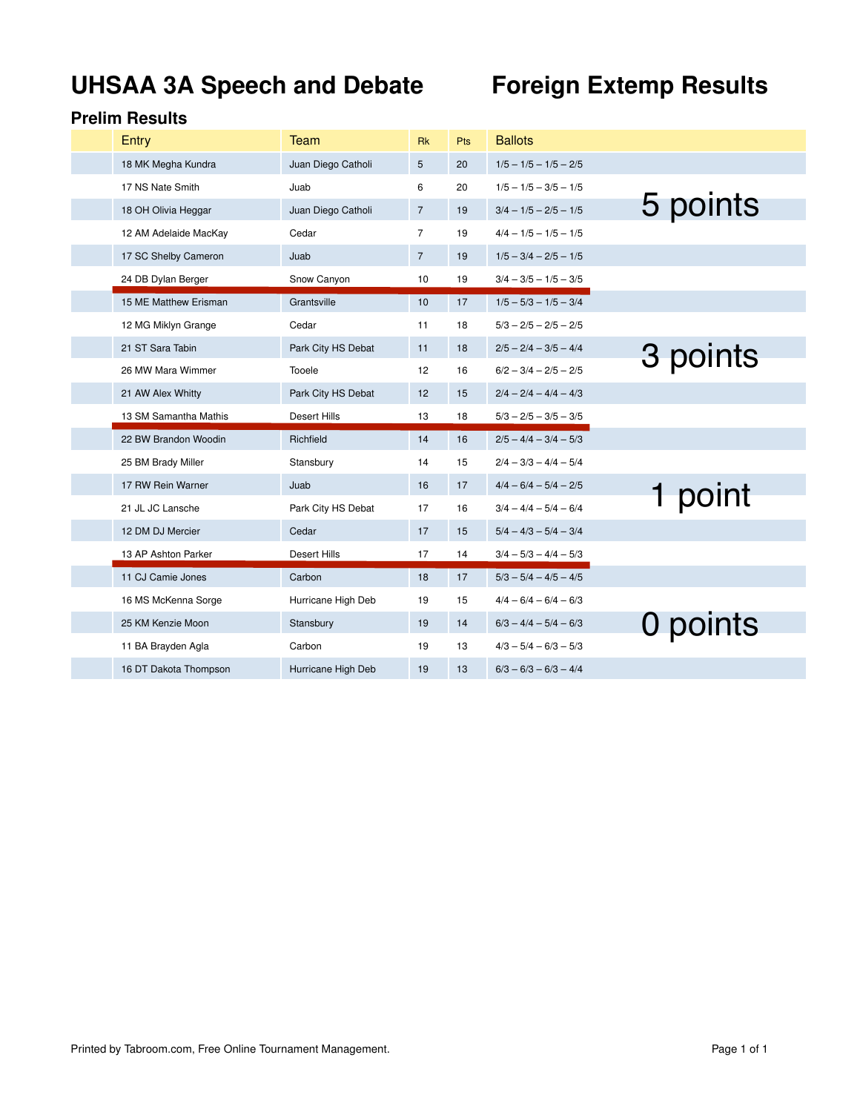# **UHSAA 3A Speech and Debate Foreign Extemp Results**

| Entry                 | Team                | <b>Rk</b>      | Pts | <b>Ballots</b>          |          |
|-----------------------|---------------------|----------------|-----|-------------------------|----------|
| 18 MK Megha Kundra    | Juan Diego Catholi  | 5              | 20  | $1/5 - 1/5 - 1/5 - 2/5$ |          |
| 17 NS Nate Smith      | Juab                | 6              | 20  | $1/5 - 1/5 - 3/5 - 1/5$ |          |
| 18 OH Olivia Heggar   | Juan Diego Catholi  | $\overline{7}$ | 19  | $3/4 - 1/5 - 2/5 - 1/5$ | 5 points |
| 12 AM Adelaide MacKay | Cedar               | $\overline{7}$ | 19  | $4/4 - 1/5 - 1/5 - 1/5$ |          |
| 17 SC Shelby Cameron  | Juab                | $\overline{7}$ | 19  | $1/5 - 3/4 - 2/5 - 1/5$ |          |
| 24 DB Dylan Berger    | Snow Canyon         | 10             | 19  | $3/4 - 3/5 - 1/5 - 3/5$ |          |
| 15 ME Matthew Erisman | Grantsville         | 10             | 17  | $1/5 - 5/3 - 1/5 - 3/4$ |          |
| 12 MG Miklyn Grange   | Cedar               | 11             | 18  | $5/3 - 2/5 - 2/5 - 2/5$ |          |
| 21 ST Sara Tabin      | Park City HS Debat  | 11             | 18  | $2/5 - 2/4 - 3/5 - 4/4$ | 3 points |
| 26 MW Mara Wimmer     | Tooele              | 12             | 16  | $6/2 - 3/4 - 2/5 - 2/5$ |          |
| 21 AW Alex Whitty     | Park City HS Debat  | 12             | 15  | $2/4 - 2/4 - 4/4 - 4/3$ |          |
|                       |                     |                |     |                         |          |
| 13 SM Samantha Mathis | <b>Desert Hills</b> | 13             | 18  | $5/3 - 2/5 - 3/5 - 3/5$ |          |
| 22 BW Brandon Woodin  | Richfield           | 14             | 16  | $2/5 - 4/4 - 3/4 - 5/3$ |          |
| 25 BM Brady Miller    | Stansbury           | 14             | 15  | $2/4 - 3/3 - 4/4 - 5/4$ |          |
| 17 RW Rein Warner     | Juab                | 16             | 17  | $4/4 - 6/4 - 5/4 - 2/5$ |          |
| 21 JL JC Lansche      | Park City HS Debat  | 17             | 16  | $3/4 - 4/4 - 5/4 - 6/4$ | 1 point  |
| 12 DM DJ Mercier      | Cedar               | 17             | 15  | $5/4 - 4/3 - 5/4 - 3/4$ |          |
| 13 AP Ashton Parker   | <b>Desert Hills</b> | 17             | 14  | $3/4 - 5/3 - 4/4 - 5/3$ |          |
| 11 CJ Camie Jones     | Carbon              | 18             | 17  | $5/3 - 5/4 - 4/5 - 4/5$ |          |
| 16 MS McKenna Sorge   | Hurricane High Deb  | 19             | 15  | $4/4 - 6/4 - 6/4 - 6/3$ |          |
| 25 KM Kenzie Moon     | Stansbury           | 19             | 14  | $6/3 - 4/4 - 5/4 - 6/3$ |          |
| 11 BA Brayden Agla    | Carbon              | 19             | 13  | $4/3 - 5/4 - 6/3 - 5/3$ | 0 points |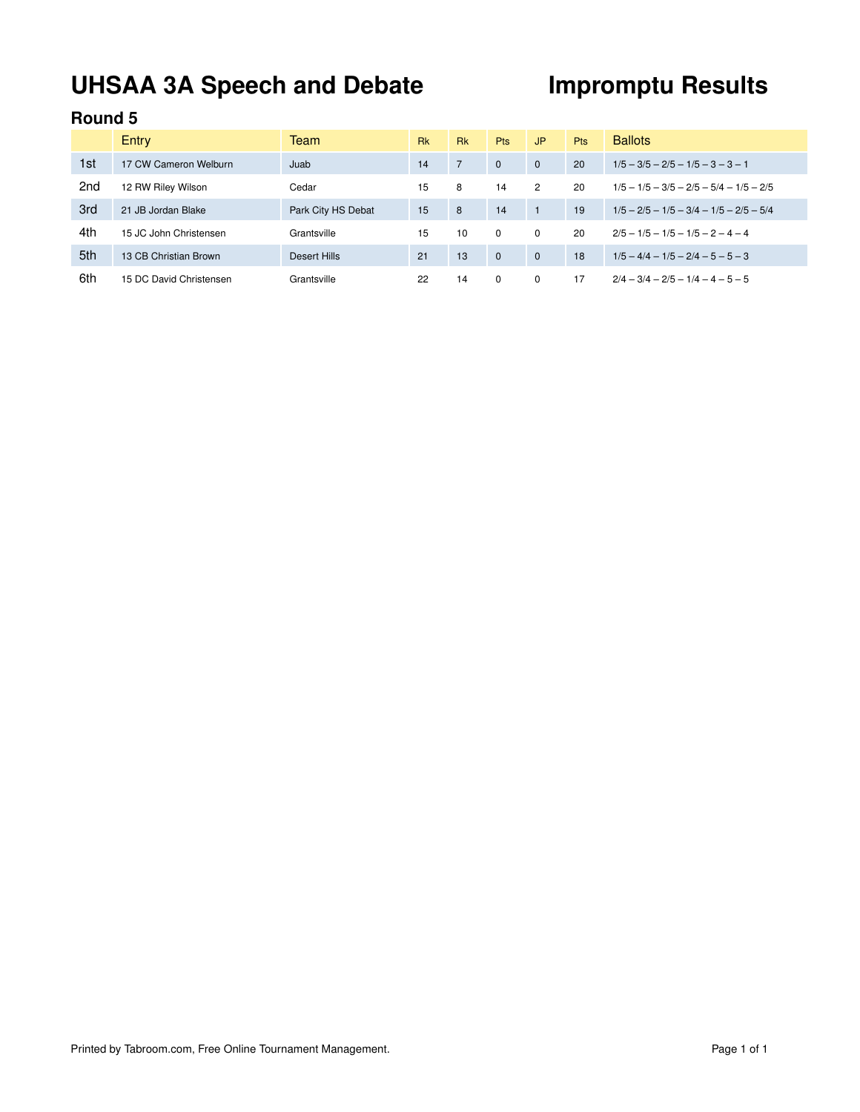# UHSAA 3A Speech and Debate **Impromptu Results**

|                 | Entry                   | Team               | <b>Rk</b> | <b>Rk</b> | <b>Pts</b>   | J <sub>P</sub> | <b>Pts</b> | <b>Ballots</b>                            |
|-----------------|-------------------------|--------------------|-----------|-----------|--------------|----------------|------------|-------------------------------------------|
| 1st             | 17 CW Cameron Welburn   | Juab               | 14        |           | $\Omega$     | $\Omega$       | 20         | $1/5 - 3/5 - 2/5 - 1/5 - 3 - 3 - 1$       |
| 2 <sub>nd</sub> | 12 RW Riley Wilson      | Cedar              | 15        | 8         | 14           | $\overline{2}$ | 20         | $1/5 - 1/5 - 3/5 - 2/5 - 5/4 - 1/5 - 2/5$ |
| 3rd             | 21 JB Jordan Blake      | Park City HS Debat | 15        | 8         | 14           |                | 19         | $1/5 - 2/5 - 1/5 - 3/4 - 1/5 - 2/5 - 5/4$ |
| 4th             | 15 JC John Christensen  | Grantsville        | 15        | 10        | $\Omega$     | $\Omega$       | 20         | $2/5 - 1/5 - 1/5 - 1/5 - 2 - 4 - 4$       |
| 5th             | 13 CB Christian Brown   | Desert Hills       | 21        | 13        | $\mathbf{0}$ | $\mathbf{0}$   | 18         | $1/5 - 4/4 - 1/5 - 2/4 - 5 - 5 - 3$       |
| 6th             | 15 DC David Christensen | Grantsville        | 22        | 14        | 0            | $\Omega$       | 17         | $2/4 - 3/4 - 2/5 - 1/4 - 4 - 5 - 5$       |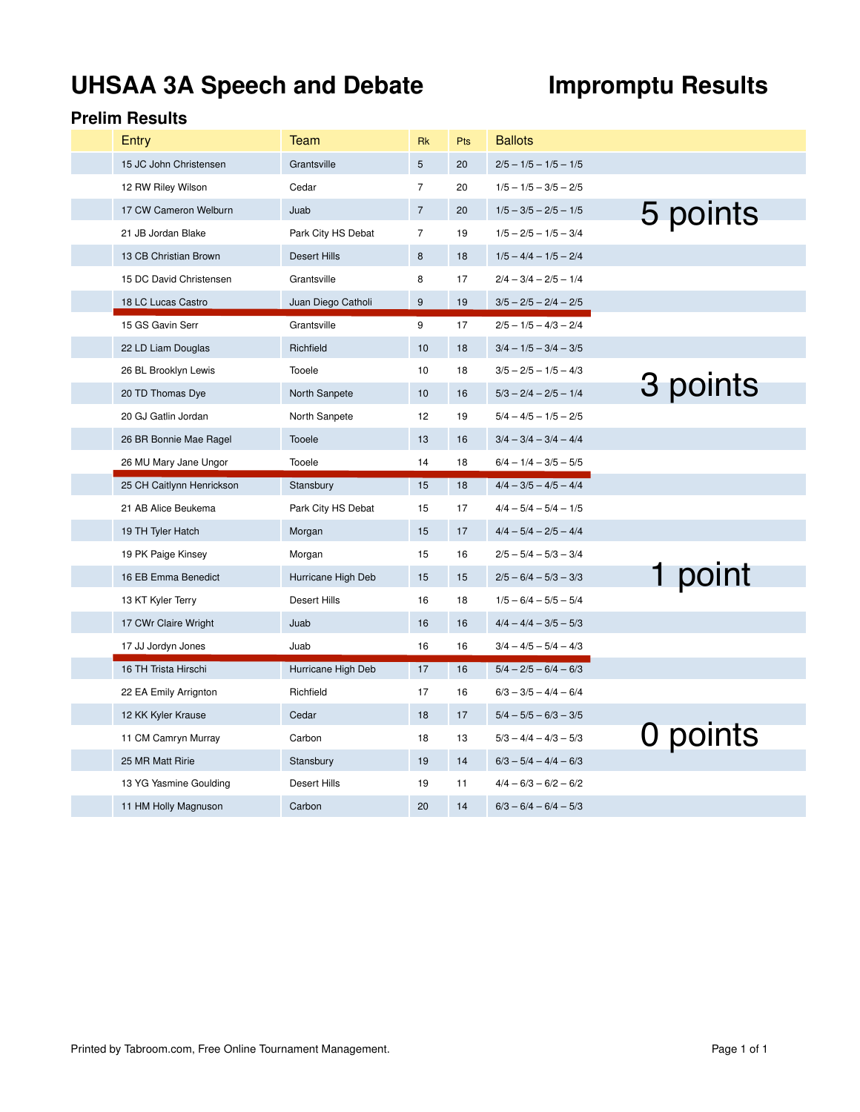# UHSAA 3A Speech and Debate **Impromptu Results**

| Entry                     | Team                | <b>Rk</b>      | Pts | <b>Ballots</b>          |          |
|---------------------------|---------------------|----------------|-----|-------------------------|----------|
| 15 JC John Christensen    | Grantsville         | 5              | 20  | $2/5 - 1/5 - 1/5 - 1/5$ |          |
| 12 RW Riley Wilson        | Cedar               | $\overline{7}$ | 20  | $1/5 - 1/5 - 3/5 - 2/5$ |          |
| 17 CW Cameron Welburn     | Juab                | $\overline{7}$ | 20  | $1/5 - 3/5 - 2/5 - 1/5$ | 5 points |
| 21 JB Jordan Blake        | Park City HS Debat  | $\overline{7}$ | 19  | $1/5 - 2/5 - 1/5 - 3/4$ |          |
| 13 CB Christian Brown     | <b>Desert Hills</b> | 8              | 18  | $1/5 - 4/4 - 1/5 - 2/4$ |          |
| 15 DC David Christensen   | Grantsville         | 8              | 17  | $2/4 - 3/4 - 2/5 - 1/4$ |          |
| 18 LC Lucas Castro        | Juan Diego Catholi  | 9              | 19  | $3/5 - 2/5 - 2/4 - 2/5$ |          |
| 15 GS Gavin Serr          | Grantsville         | 9              | 17  | $2/5 - 1/5 - 4/3 - 2/4$ |          |
| 22 LD Liam Douglas        | Richfield           | 10             | 18  | $3/4 - 1/5 - 3/4 - 3/5$ |          |
| 26 BL Brooklyn Lewis      | Tooele              | 10             | 18  | $3/5 - 2/5 - 1/5 - 4/3$ |          |
| 20 TD Thomas Dye          | North Sanpete       | 10             | 16  | $5/3 - 2/4 - 2/5 - 1/4$ | 3 points |
| 20 GJ Gatlin Jordan       | North Sanpete       | 12             | 19  | $5/4 - 4/5 - 1/5 - 2/5$ |          |
| 26 BR Bonnie Mae Ragel    | Tooele              | 13             | 16  | $3/4 - 3/4 - 3/4 - 4/4$ |          |
| 26 MU Mary Jane Ungor     | Tooele              | 14             | 18  | $6/4 - 1/4 - 3/5 - 5/5$ |          |
| 25 CH Caitlynn Henrickson | Stansbury           | 15             | 18  | $4/4 - 3/5 - 4/5 - 4/4$ |          |
| 21 AB Alice Beukema       | Park City HS Debat  | 15             | 17  | $4/4 - 5/4 - 5/4 - 1/5$ |          |
| 19 TH Tyler Hatch         | Morgan              | 15             | 17  | $4/4 - 5/4 - 2/5 - 4/4$ |          |
| 19 PK Paige Kinsey        |                     |                |     |                         |          |
|                           | Morgan              | 15             | 16  | $2/5 - 5/4 - 5/3 - 3/4$ |          |
| 16 EB Emma Benedict       | Hurricane High Deb  | 15             | 15  | $2/5 - 6/4 - 5/3 - 3/3$ |          |
| 13 KT Kyler Terry         | Desert Hills        | 16             | 18  | $1/5 - 6/4 - 5/5 - 5/4$ | point    |
| 17 CWr Claire Wright      | Juab                | 16             | 16  | $4/4 - 4/4 - 3/5 - 5/3$ |          |
| 17 JJ Jordyn Jones        | Juab                | 16             | 16  | $3/4 - 4/5 - 5/4 - 4/3$ |          |
| 16 TH Trista Hirschi      | Hurricane High Deb  | 17             | 16  | $5/4 - 2/5 - 6/4 - 6/3$ |          |
| 22 EA Emily Arrignton     | Richfield           | 17             | 16  | $6/3 - 3/5 - 4/4 - 6/4$ |          |
| 12 KK Kyler Krause        | Cedar               | 18             | 17  | $5/4 - 5/5 - 6/3 - 3/5$ |          |
| 11 CM Camryn Murray       | Carbon              | 18             | 13  | $5/3 - 4/4 - 4/3 - 5/3$ |          |
| 25 MR Matt Ririe          | Stansbury           | 19             | 14  | $6/3 - 5/4 - 4/4 - 6/3$ | 0 points |
| 13 YG Yasmine Goulding    | Desert Hills        | 19             | 11  | $4/4 - 6/3 - 6/2 - 6/2$ |          |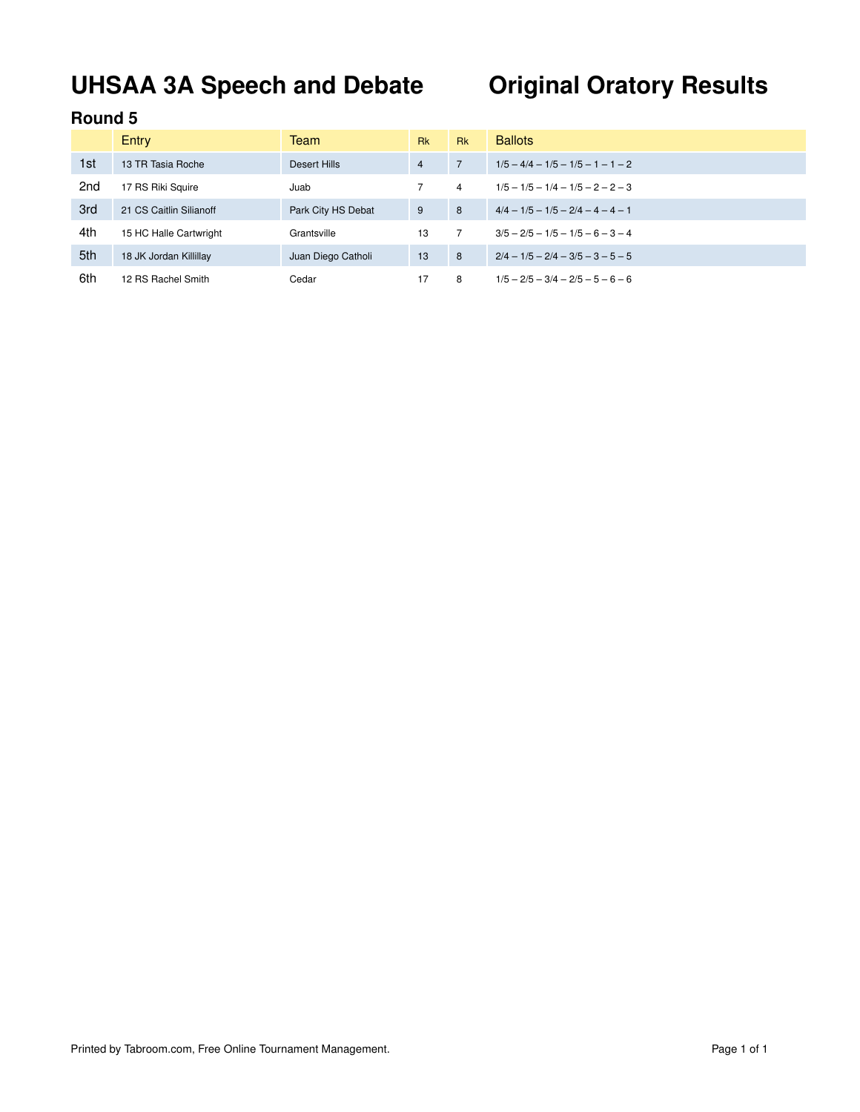# **UHSAA 3A Speech and Debate Original Oratory Results**

|                 | Entry                   | Team               | <b>Rk</b>      | <b>Rk</b>      | <b>Ballots</b>                      |
|-----------------|-------------------------|--------------------|----------------|----------------|-------------------------------------|
| 1st             | 13 TR Tasia Roche       | Desert Hills       | $\overline{4}$ | $\overline{7}$ | $1/5 - 4/4 - 1/5 - 1/5 - 1 - 1 - 2$ |
| 2 <sub>nd</sub> | 17 RS Riki Squire       | Juab               |                | 4              | $1/5 - 1/5 - 1/4 - 1/5 - 2 - 2 - 3$ |
| 3rd             | 21 CS Caitlin Silianoff | Park City HS Debat | 9              | 8              | $4/4 - 1/5 - 1/5 - 2/4 - 4 - 4 - 1$ |
| 4th             | 15 HC Halle Cartwright  | Grantsville        | 13             |                | $3/5 - 2/5 - 1/5 - 1/5 - 6 - 3 - 4$ |
| 5th             | 18 JK Jordan Killillay  | Juan Diego Catholi | 13             | 8              | $2/4 - 1/5 - 2/4 - 3/5 - 3 - 5 - 5$ |
| 6th             | 12 RS Rachel Smith      | Cedar              | 17             | 8              | $1/5 - 2/5 - 3/4 - 2/5 - 5 - 6 - 6$ |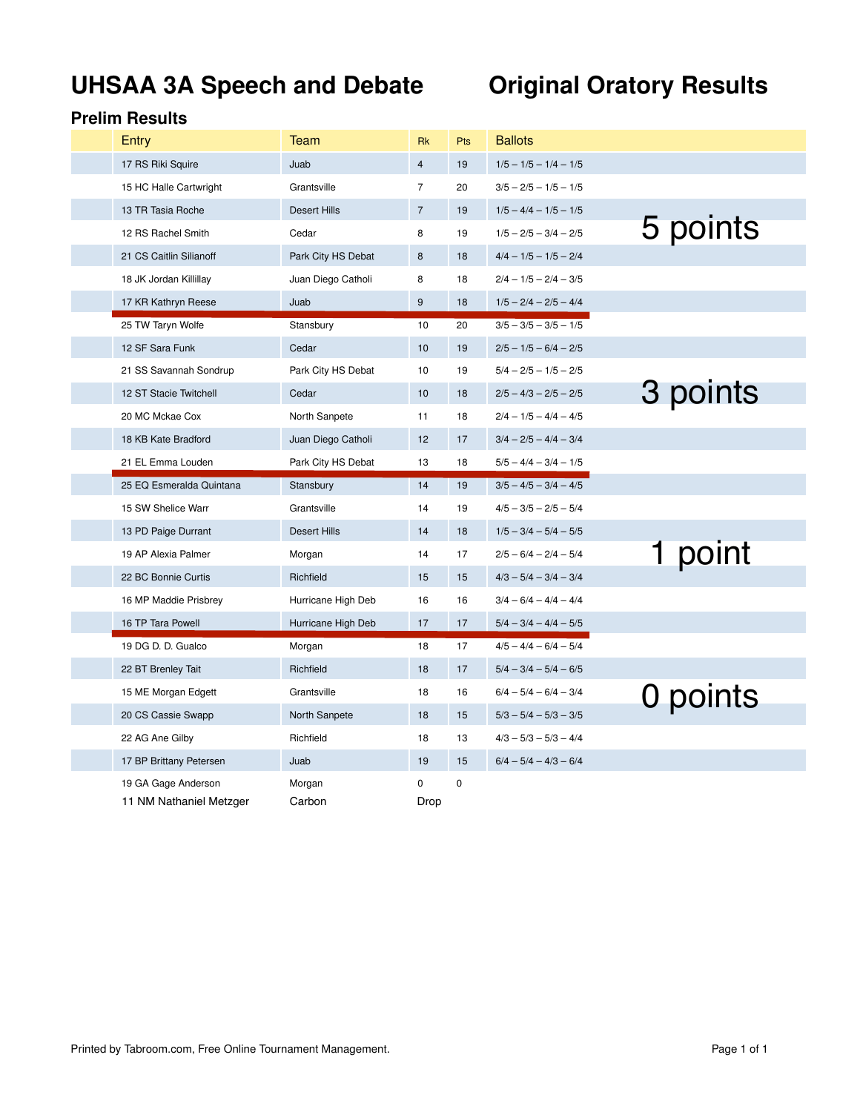# **UHSAA 3A Speech and Debate Original Oratory Results**

| Entry                    | Team                | <b>Rk</b>      | Pts         | <b>Ballots</b>          |          |
|--------------------------|---------------------|----------------|-------------|-------------------------|----------|
| 17 RS Riki Squire        | Juab                | $\overline{4}$ | 19          | $1/5 - 1/5 - 1/4 - 1/5$ |          |
| 15 HC Halle Cartwright   | Grantsville         | $\overline{7}$ | 20          | $3/5 - 2/5 - 1/5 - 1/5$ |          |
| 13 TR Tasia Roche        | Desert Hills        | $\overline{7}$ | 19          | $1/5 - 4/4 - 1/5 - 1/5$ |          |
| 12 RS Rachel Smith       | Cedar               | 8              | 19          | $1/5 - 2/5 - 3/4 - 2/5$ | 5 points |
| 21 CS Caitlin Silianoff  | Park City HS Debat  | 8              | 18          | $4/4 - 1/5 - 1/5 - 2/4$ |          |
| 18 JK Jordan Killillay   | Juan Diego Catholi  | 8              | 18          | $2/4 - 1/5 - 2/4 - 3/5$ |          |
| 17 KR Kathryn Reese      | Juab                | 9              | 18          | $1/5 - 2/4 - 2/5 - 4/4$ |          |
| 25 TW Taryn Wolfe        | Stansbury           | 10             | 20          | $3/5 - 3/5 - 3/5 - 1/5$ |          |
| 12 SF Sara Funk          | Cedar               | 10             | 19          | $2/5 - 1/5 - 6/4 - 2/5$ |          |
| 21 SS Savannah Sondrup   | Park City HS Debat  | 10             | 19          | $5/4 - 2/5 - 1/5 - 2/5$ |          |
| 12 ST Stacie Twitchell   | Cedar               | 10             | 18          | $2/5 - 4/3 - 2/5 - 2/5$ | 3 points |
| 20 MC Mckae Cox          | North Sanpete       | 11             | 18          | $2/4 - 1/5 - 4/4 - 4/5$ |          |
| 18 KB Kate Bradford      | Juan Diego Catholi  | 12             | 17          | $3/4 - 2/5 - 4/4 - 3/4$ |          |
| 21 EL Emma Louden        | Park City HS Debat  | 13             | 18          | $5/5 - 4/4 - 3/4 - 1/5$ |          |
| 25 EQ Esmeralda Quintana | Stansbury           | 14             | 19          | $3/5 - 4/5 - 3/4 - 4/5$ |          |
| 15 SW Shelice Warr       | Grantsville         | 14             | 19          | $4/5 - 3/5 - 2/5 - 5/4$ |          |
| 13 PD Paige Durrant      | <b>Desert Hills</b> | 14             | 18          | $1/5 - 3/4 - 5/4 - 5/5$ |          |
| 19 AP Alexia Palmer      | Morgan              | 14             | 17          | $2/5 - 6/4 - 2/4 - 5/4$ | 1 point  |
| 22 BC Bonnie Curtis      | Richfield           | 15             | 15          | $4/3 - 5/4 - 3/4 - 3/4$ |          |
| 16 MP Maddie Prisbrey    | Hurricane High Deb  | 16             | 16          | $3/4 - 6/4 - 4/4 - 4/4$ |          |
| 16 TP Tara Powell        | Hurricane High Deb  | 17             | 17          | $5/4 - 3/4 - 4/4 - 5/5$ |          |
| 19 DG D. D. Gualco       | Morgan              | 18             | 17          | $4/5 - 4/4 - 6/4 - 5/4$ |          |
| 22 BT Brenley Tait       | Richfield           | 18             | 17          | $5/4 - 3/4 - 5/4 - 6/5$ |          |
| 15 ME Morgan Edgett      | Grantsville         | 18             | 16          | $6/4 - 5/4 - 6/4 - 3/4$ | 0 points |
| 20 CS Cassie Swapp       | North Sanpete       | 18             | 15          | $5/3 - 5/4 - 5/3 - 3/5$ |          |
| 22 AG Ane Gilby          | Richfield           | 18             | 13          | $4/3 - 5/3 - 5/3 - 4/4$ |          |
| 17 BP Brittany Petersen  | Juab                | 19             | 15          | $6/4 - 5/4 - 4/3 - 6/4$ |          |
| 19 GA Gage Anderson      | Morgan              | 0              | $\mathbf 0$ |                         |          |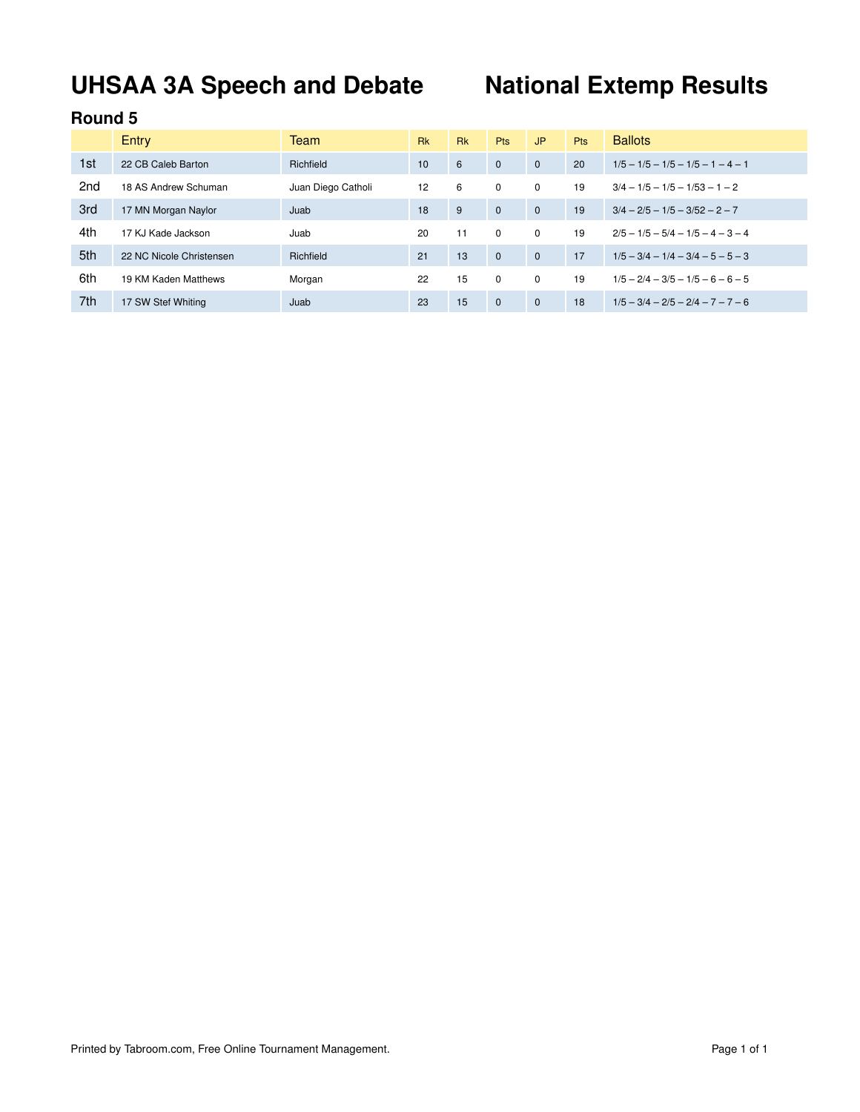# **UHSAA 3A Speech and Debate National Extemp Results**

|     | <b>Entry</b>             | Team               | <b>Rk</b> | <b>Rk</b> | <b>Pts</b>   | JP.          | <b>Pts</b> | <b>Ballots</b>                      |
|-----|--------------------------|--------------------|-----------|-----------|--------------|--------------|------------|-------------------------------------|
| 1st | 22 CB Caleb Barton       | Richfield          | 10        | 6         | $\mathbf{0}$ | $\mathbf{0}$ | 20         | $1/5 - 1/5 - 1/5 - 1/5 - 1 - 4 - 1$ |
| 2nd | 18 AS Andrew Schuman     | Juan Diego Catholi | 12        | 6         | 0            | 0            | 19         | $3/4 - 1/5 - 1/5 - 1/53 - 1 - 2$    |
| 3rd | 17 MN Morgan Naylor      | Juab               | 18        | 9         | $\mathbf{0}$ | $\mathbf{0}$ | 19         | $3/4 - 2/5 - 1/5 - 3/52 - 2 - 7$    |
| 4th | 17 KJ Kade Jackson       | Juab               | 20        | 11        | $\Omega$     | $\Omega$     | 19         | $2/5 - 1/5 - 5/4 - 1/5 - 4 - 3 - 4$ |
| 5th | 22 NC Nicole Christensen | Richfield          | 21        | 13        | $\Omega$     | $\Omega$     | 17         | $1/5 - 3/4 - 1/4 - 3/4 - 5 - 5 - 3$ |
| 6th | 19 KM Kaden Matthews     | Morgan             | 22        | 15        | 0            | $\Omega$     | 19         | $1/5 - 2/4 - 3/5 - 1/5 - 6 - 6 - 5$ |
| 7th | 17 SW Stef Whiting       | Juab               | 23        | 15        | $\mathbf{0}$ | $\Omega$     | 18         | $1/5 - 3/4 - 2/5 - 2/4 - 7 - 7 - 6$ |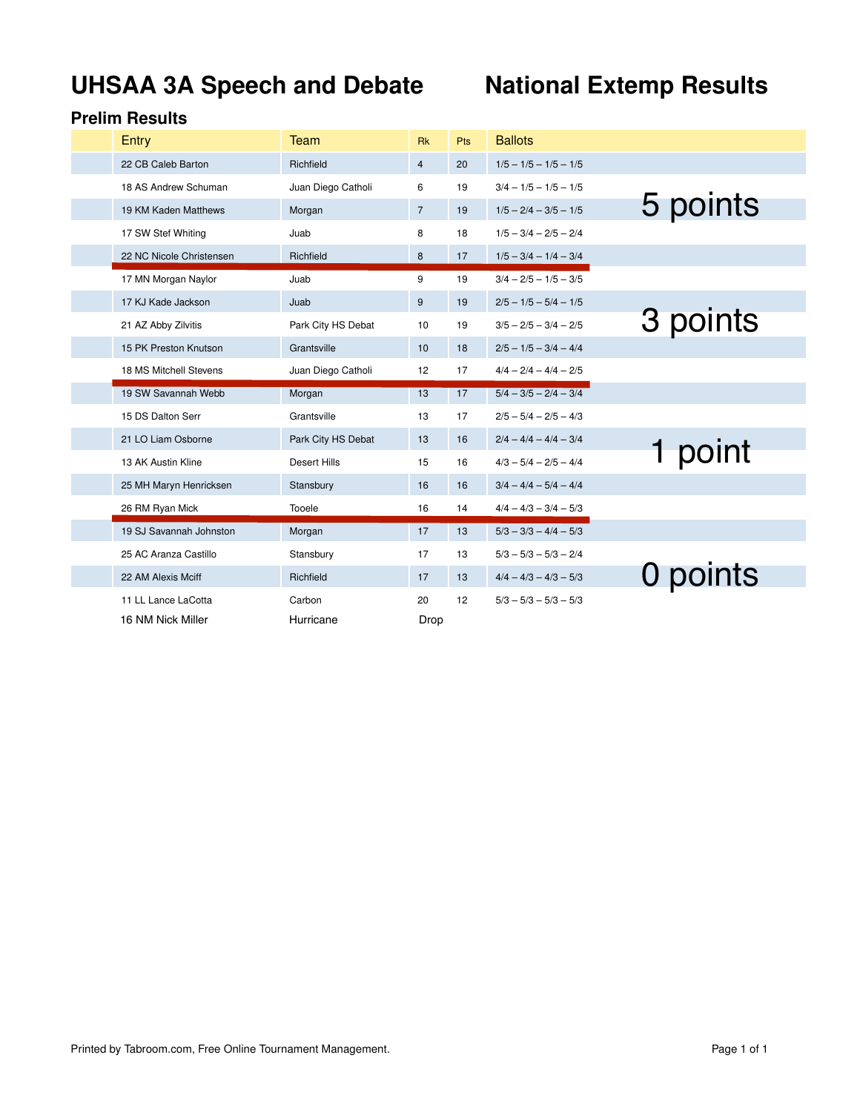# **UHSAA 3A Speech and Debate National Extemp Results**

| Entry                    | Team               | <b>Rk</b>      | Pts | <b>Ballots</b>          |          |  |
|--------------------------|--------------------|----------------|-----|-------------------------|----------|--|
| 22 CB Caleb Barton       | Richfield          | $\overline{4}$ | 20  | $1/5 - 1/5 - 1/5 - 1/5$ |          |  |
| 18 AS Andrew Schuman     | Juan Diego Catholi | 6              | 19  | $3/4 - 1/5 - 1/5 - 1/5$ |          |  |
| 19 KM Kaden Matthews     | Morgan             | $\overline{7}$ | 19  | $1/5 - 2/4 - 3/5 - 1/5$ | 5 points |  |
| 17 SW Stef Whiting       | Juab               | 8              | 18  | $1/5 - 3/4 - 2/5 - 2/4$ |          |  |
| 22 NC Nicole Christensen | Richfield          | 8              | 17  | $1/5 - 3/4 - 1/4 - 3/4$ |          |  |
| 17 MN Morgan Naylor      | Juab               | 9              | 19  | $3/4 - 2/5 - 1/5 - 3/5$ |          |  |
| 17 KJ Kade Jackson       | Juab               | 9              | 19  | $2/5 - 1/5 - 5/4 - 1/5$ |          |  |
| 21 AZ Abby Zilvitis      | Park City HS Debat | 10             | 19  | $3/5 - 2/5 - 3/4 - 2/5$ | 3 points |  |
| 15 PK Preston Knutson    | Grantsville        | 10             | 18  | $2/5 - 1/5 - 3/4 - 4/4$ |          |  |
| 18 MS Mitchell Stevens   | Juan Diego Catholi | 12             | 17  | $4/4 - 2/4 - 4/4 - 2/5$ |          |  |
|                          |                    |                |     |                         |          |  |
| 19 SW Savannah Webb      | Morgan             | 13             | 17  | $5/4 - 3/5 - 2/4 - 3/4$ |          |  |
| 15 DS Dalton Serr        | Grantsville        | 13             | 17  | $2/5 - 5/4 - 2/5 - 4/3$ |          |  |
| 21 LO Liam Osborne       | Park City HS Debat | 13             | 16  | $2/4 - 4/4 - 4/4 - 3/4$ |          |  |
| 13 AK Austin Kline       | Desert Hills       | 15             | 16  | $4/3 - 5/4 - 2/5 - 4/4$ | point    |  |
| 25 MH Maryn Henricksen   | Stansbury          | 16             | 16  | $3/4 - 4/4 - 5/4 - 4/4$ |          |  |
| 26 RM Ryan Mick          | Tooele             | 16             | 14  | $4/4 - 4/3 - 3/4 - 5/3$ |          |  |
| 19 SJ Savannah Johnston  | Morgan             | 17             | 13  | $5/3 - 3/3 - 4/4 - 5/3$ |          |  |
| 25 AC Aranza Castillo    | Stansbury          | 17             | 13  | $5/3 - 5/3 - 5/3 - 2/4$ |          |  |
| 22 AM Alexis Mciff       | Richfield          | 17             | 13  | $4/4 - 4/3 - 4/3 - 5/3$ |          |  |
| 11 LL Lance LaCotta      | Carbon             | 20             | 12  | $5/3 - 5/3 - 5/3 - 5/3$ | 0 points |  |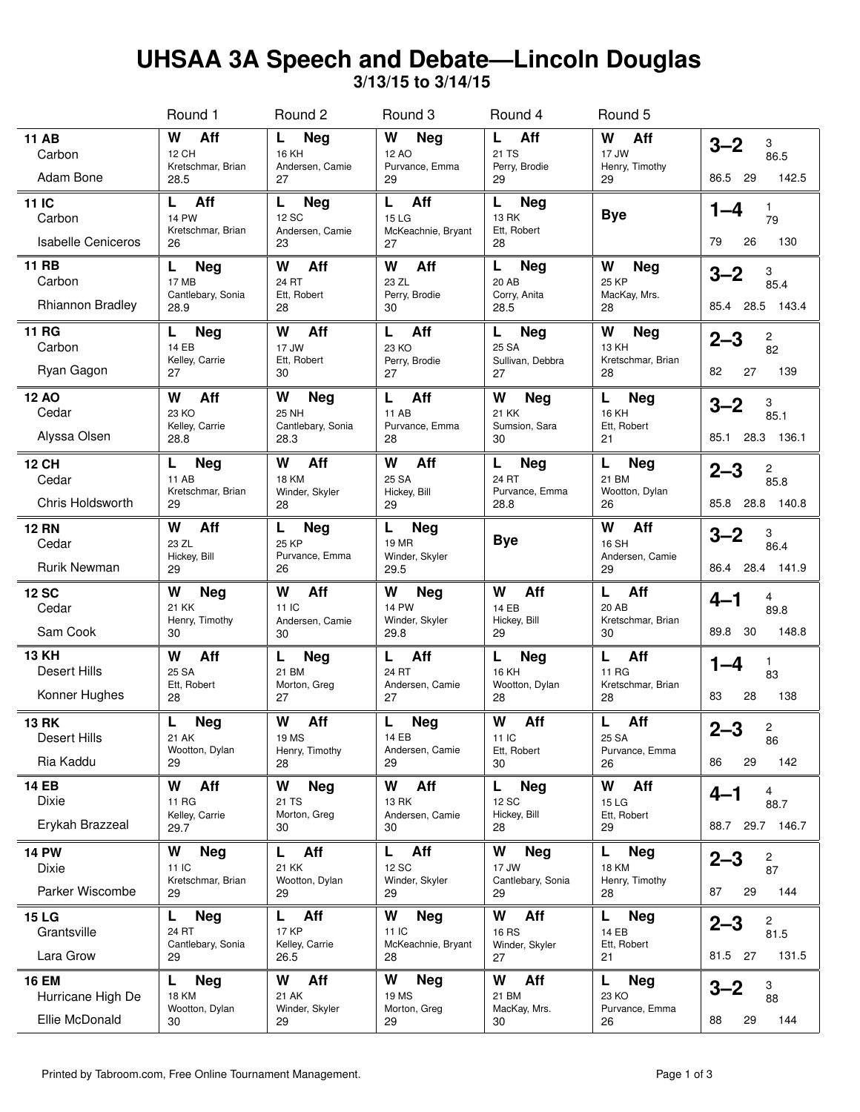## **UHSAA 3A Speech and Debate—Lincoln Douglas**

**3/13/15 to 3/14/15**

|                                                      | Round 1                                                      | Round 2                                                      | Round 3                                              | Round 4                                             | Round 5                                               |                                                                      |
|------------------------------------------------------|--------------------------------------------------------------|--------------------------------------------------------------|------------------------------------------------------|-----------------------------------------------------|-------------------------------------------------------|----------------------------------------------------------------------|
| <b>11 AB</b><br>Carbon<br>Adam Bone                  | Aff<br>W<br>12 CH<br>Kretschmar, Brian<br>28.5               | L.<br><b>Neg</b><br>16 KH<br>Andersen, Camie<br>27           | W<br>Neg<br>12 AO<br>Purvance, Emma<br>29            | Aff<br>L<br>21 TS<br>Perry, Brodie<br>29            | W<br>Aff<br>17 JW<br>Henry, Timothy<br>29             | $3 - 2$<br>3<br>86.5<br>142.5<br>86.5<br>29                          |
| 11 IC<br>Carbon<br><b>Isabelle Ceniceros</b>         | Aff<br>L.<br><b>14 PW</b><br>Kretschmar, Brian<br>26         | L<br><b>Neg</b><br>12 SC<br>Andersen, Camie<br>23            | L<br>Aff<br>15 LG<br>McKeachnie, Bryant<br>27        | L<br><b>Neg</b><br>13 RK<br>Ett, Robert<br>28       | <b>Bye</b>                                            | 1<br>1–4<br>79<br>79<br>26<br>130                                    |
| <b>11 RB</b><br>Carbon<br><b>Rhiannon Bradley</b>    | <b>Neg</b><br>L<br><b>17 MB</b><br>Cantlebary, Sonia<br>28.9 | Aff<br>W<br>24 RT<br>Ett, Robert<br>28                       | W<br>Aff<br>23 ZL<br>Perry, Brodie<br>30             | <b>Neg</b><br>L<br>20 AB<br>Corry, Anita<br>28.5    | W<br><b>Neg</b><br><b>25 KP</b><br>MacKay, Mrs.<br>28 | $3 - 2$<br>3<br>85.4<br>28.5 143.4<br>85.4                           |
| <b>11 RG</b><br>Carbon<br>Ryan Gagon                 | Neg<br>L<br><b>14 EB</b><br>Kelley, Carrie<br>27             | W<br>Aff<br>17 JW<br>Ett, Robert<br>30                       | Aff<br>L<br>23 KO<br>Perry, Brodie<br>27             | L<br><b>Neg</b><br>25 SA<br>Sullivan, Debbra<br>27  | W<br><b>Neg</b><br>13 KH<br>Kretschmar, Brian<br>28   | $2 - 3$<br>2<br>82<br>82<br>27<br>139                                |
| <b>12 AO</b><br>Cedar<br>Alyssa Olsen                | W<br>Aff<br>23 KO<br>Kelley, Carrie<br>28.8                  | W<br><b>Neg</b><br><b>25 NH</b><br>Cantlebary, Sonia<br>28.3 | Aff<br>L<br><b>11 AB</b><br>Purvance, Emma<br>28     | W<br><b>Neg</b><br>21 KK<br>Sumsion, Sara<br>30     | L<br><b>Neg</b><br>16 KH<br>Ett, Robert<br>21         | $3 - 2$<br>3<br>85.1<br>28.3 136.1<br>85.1                           |
| <b>12 CH</b><br>Cedar<br><b>Chris Holdsworth</b>     | L<br><b>Neg</b><br><b>11 AB</b><br>Kretschmar, Brian<br>29   | W<br>Aff<br><b>18 KM</b><br>Winder, Skyler<br>28             | W<br>Aff<br>25 SA<br>Hickey, Bill<br>29              | L<br><b>Neg</b><br>24 RT<br>Purvance, Emma<br>28.8  | L<br><b>Neg</b><br>21 BM<br>Wootton, Dylan<br>26      | $2 - 3$<br>2<br>85.8<br>85.8 28.8 140.8                              |
| <b>12 RN</b><br>Cedar<br><b>Rurik Newman</b>         | W<br>Aff<br>23 ZL<br>Hickey, Bill<br>29                      | L<br><b>Neg</b><br><b>25 KP</b><br>Purvance, Emma<br>26      | <b>Neg</b><br>L<br>19 MR<br>Winder, Skyler<br>29.5   | <b>Bye</b>                                          | W<br>Aff<br>16 SH<br>Andersen, Camie<br>29            | $3 - 2$<br>3<br>86.4<br>86.4 28.4 141.9                              |
| <b>12 SC</b><br>Cedar<br>Sam Cook                    | W<br><b>Neg</b><br>21 KK<br>Henry, Timothy<br>30             | W<br>Aff<br>11 IC<br>Andersen, Camie<br>30                   | W<br>Neg<br><b>14 PW</b><br>Winder, Skyler<br>29.8   | W<br>Aff<br>14 EB<br>Hickey, Bill<br>29             | Aff<br>L<br>20 AB<br>Kretschmar, Brian<br>30          | $4 - 1$<br>4<br>89.8<br>89.8<br>30<br>148.8                          |
| <b>13 KH</b><br><b>Desert Hills</b><br>Konner Hughes | W<br>Aff<br>25 SA<br>Ett, Robert<br>28                       | L<br><b>Neg</b><br>21 BM<br>Morton, Greg<br>27               | Aff<br>L<br>24 RT<br>Andersen, Camie<br>27           | L<br><b>Neg</b><br>16 KH<br>Wootton, Dylan<br>28    | Aff<br>L.<br>11 RG<br>Kretschmar, Brian<br>28         | 1–4<br>1<br>83<br>83<br>28<br>138                                    |
| <b>13 RK</b><br><b>Desert Hills</b><br>Ria Kaddu     | L<br><b>Neg</b><br>21 AK<br>Wootton, Dylan<br>29             | W<br>Aff<br>19 MS<br>Henry, Timothy<br>28                    | L<br><b>Neg</b><br>14 EB<br>Andersen, Camie<br>29    | W<br>Aff<br>11 IC<br>Ett, Robert<br>30              | Aff<br>L<br>25 SA<br>Purvance, Emma<br>26             | $2 - 3$<br>2<br>86<br>86<br>29<br>142                                |
| <b>14 EB</b><br>Dixie<br>Erykah Brazzeal             | W<br>Aff<br>11 RG<br>Kelley, Carrie<br>29.7                  | W<br><b>Neg</b><br>21 TS<br>Morton, Greg<br>30               | W<br>Aff<br>13 RK<br>Andersen, Camie<br>30           | L<br><b>Neg</b><br>12 SC<br>Hickey, Bill<br>28      | W<br>Aff<br>15 LG<br>Ett, Robert<br>29                | 4<br>$4 - 1$<br>88.7<br>88.7 29.7 146.7                              |
| <b>14 PW</b><br>Dixie<br>Parker Wiscombe             | W<br><b>Neg</b><br>11 IC<br>Kretschmar, Brian<br>29          | L<br>Aff<br>21 KK<br>Wootton, Dylan<br>29                    | L<br>Aff<br>12 SC<br>Winder, Skyler<br>29            | W<br><b>Neg</b><br>17 JW<br>Cantlebary, Sonia<br>29 | L<br><b>Neg</b><br>18 KM<br>Henry, Timothy<br>28      | $2 - 3$<br>$\begin{array}{c} 2 \\ 87 \end{array}$<br>87<br>29<br>144 |
| <b>15 LG</b><br>Grantsville<br>Lara Grow             | <b>Neg</b><br>L<br>24 RT<br>Cantlebary, Sonia<br>29          | Г<br>Aff<br><b>17 KP</b><br>Kelley, Carrie<br>26.5           | W<br><b>Neg</b><br>11 IC<br>McKeachnie, Bryant<br>28 | W<br>Aff<br><b>16 RS</b><br>Winder, Skyler<br>27    | L,<br><b>Neg</b><br>14 EB<br>Ett, Robert<br>21        | 2<br>$2 - 3$<br>81.5<br>81.5 27<br>131.5                             |
| <b>16 EM</b><br>Hurricane High De<br>Ellie McDonald  | <b>Neg</b><br>L<br><b>18 KM</b><br>Wootton, Dylan<br>30      | Aff<br>W<br>21 AK<br>Winder, Skyler<br>29                    | W<br><b>Neg</b><br>19 MS<br>Morton, Greg<br>29       | W<br>Aff<br>21 BM<br>MacKay, Mrs.<br>30             | <b>Neg</b><br>L<br>23 KO<br>Purvance, Emma<br>26      | $3 - 2$<br>$\begin{array}{c} 3 \\ 88 \end{array}$<br>88<br>29<br>144 |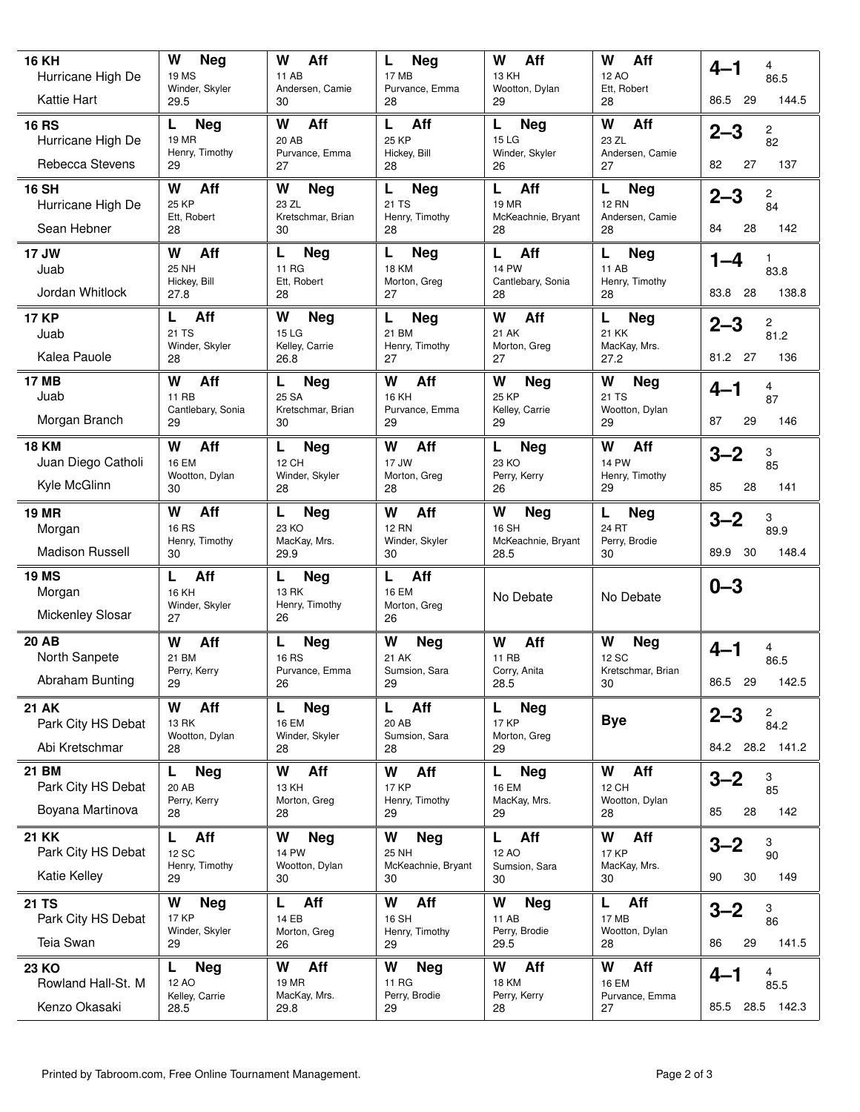| <b>16 KH</b>                            | W<br>Neg<br>19 MS                    | Aff<br>W<br>11 AB               | L<br>Neg<br>17 MB                  | W<br>Aff<br>13 KH                       | W<br>Aff<br>12 AO               | 4<br>4–1                                          |
|-----------------------------------------|--------------------------------------|---------------------------------|------------------------------------|-----------------------------------------|---------------------------------|---------------------------------------------------|
| Hurricane High De<br><b>Kattie Hart</b> | Winder, Skyler<br>29.5               | Andersen, Camie<br>30           | Purvance, Emma<br>28               | Wootton, Dylan<br>29                    | Ett, Robert<br>28               | 86.5<br>86.5<br>29<br>144.5                       |
| <b>16 RS</b>                            | Г<br>Neg                             | W<br>Aff                        | L<br>Aff                           | L<br>Neg                                | W<br>Aff                        |                                                   |
| Hurricane High De                       | <b>19 MR</b><br>Henry, Timothy       | 20 AB<br>Purvance, Emma         | <b>25 KP</b><br>Hickey, Bill       | 15 LG<br>Winder, Skyler                 | 23 ZL<br>Andersen, Camie        | $2 - 3$<br>$\begin{array}{c} 2 \\ 82 \end{array}$ |
| Rebecca Stevens                         | 29                                   | 27                              | 28                                 | 26                                      | 27                              | 82<br>27<br>137                                   |
| <b>16 SH</b><br>Hurricane High De       | W<br>Aff<br>25 KP                    | W<br><b>Neg</b><br>23 ZL        | L<br><b>Neg</b><br>21 TS           | Aff<br>L<br>19 MR                       | L<br><b>Neg</b><br><b>12 RN</b> | $2 - 3$<br>2<br>84                                |
| Sean Hebner                             | Ett, Robert<br>28                    | Kretschmar, Brian<br>30         | Henry, Timothy<br>28               | McKeachnie, Bryant<br>28                | Andersen, Camie<br>28           | 142<br>84<br>28                                   |
| 17 JW                                   | W<br>Aff                             | L<br><b>Neg</b>                 | L<br><b>Neg</b>                    | Aff<br>L                                | L<br><b>Neg</b>                 | $1 - 4$<br>1                                      |
| Juab<br>Jordan Whitlock                 | 25 NH<br>Hickey, Bill<br>27.8        | 11 RG<br>Ett, Robert<br>28      | <b>18 KM</b><br>Morton, Greg<br>27 | <b>14 PW</b><br>Cantlebary, Sonia<br>28 | 11 AB<br>Henry, Timothy<br>28   | 83.8<br>83.8<br>138.8<br>-28                      |
| <b>17 KP</b>                            | Aff<br>L                             | W<br>Neg                        | L<br><b>Neg</b>                    | W<br>Aff                                | L<br><b>Neg</b>                 | $2 - 3$<br>2                                      |
| Juab                                    | 21 TS<br>Winder, Skyler              | <b>15 LG</b><br>Kelley, Carrie  | 21 BM<br>Henry, Timothy            | 21 AK<br>Morton, Greg                   | <b>21 KK</b><br>MacKay, Mrs.    | 81.2                                              |
| Kalea Pauole                            | 28                                   | 26.8                            | 27                                 | 27                                      | 27.2                            | 27<br>81.2<br>136                                 |
| <b>17 MB</b><br>Juab                    | W<br>Aff<br><b>11 RB</b>             | L<br><b>Neg</b><br>25 SA        | W<br>Aff<br><b>16 KH</b>           | W<br><b>Neg</b><br>25 KP                | W<br>Neg<br>21 TS               | 4<br>4–1<br>87                                    |
| Morgan Branch                           | Cantlebary, Sonia<br>29              | Kretschmar, Brian<br>30         | Purvance, Emma<br>29               | Kelley, Carrie<br>29                    | Wootton, Dylan<br>29            | 87<br>29<br>146                                   |
| <b>18 KM</b>                            | W<br>Aff                             | L<br>Neg                        | W<br>Aff                           | L<br>Neg                                | W<br>Aff                        | $3 - 2$<br>3                                      |
| Juan Diego Catholi                      | <b>16 EM</b><br>Wootton, Dylan       | 12 CH<br>Winder, Skyler         | 17 JW<br>Morton, Greg              | 23 KO<br>Perry, Kerry                   | <b>14 PW</b><br>Henry, Timothy  | 85                                                |
| Kyle McGlinn                            | 30                                   | 28                              | 28                                 | 26                                      | 29                              | 85<br>28<br>141                                   |
| <b>19 MR</b><br>Morgan                  | Aff<br>W<br><b>16 RS</b>             | Neg<br>L<br>23 KO               | W<br>Aff<br><b>12 RN</b>           | W<br>Neg<br>16 SH                       | L<br>Neg<br>24 RT               | 3<br>$3 - 2$<br>89.9                              |
| <b>Madison Russell</b>                  | Henry, Timothy<br>30                 | MacKay, Mrs.<br>29.9            | Winder, Skyler<br>30               | McKeachnie, Bryant<br>28.5              | Perry, Brodie<br>30             | 89.9<br>30<br>148.4                               |
| <b>19 MS</b>                            | Aff<br>L                             | L<br><b>Neg</b>                 | Aff<br>L                           |                                         |                                 | $0 - 3$                                           |
| Morgan                                  | 16 KH<br>Winder, Skyler              | <b>13 RK</b><br>Henry, Timothy  | <b>16 EM</b><br>Morton, Greg       | No Debate                               | No Debate                       |                                                   |
| <b>Mickenley Slosar</b>                 | 27                                   | 26                              | 26                                 |                                         |                                 |                                                   |
| <b>20 AB</b><br>North Sanpete           | W<br>Aff<br>21 BM                    | L<br>Neg<br><b>16 RS</b>        | W<br><b>Neg</b><br>21 AK           | W<br>Aff<br><b>11 RB</b>                | W<br>Neg<br>12 SC               | $4 - 1$<br>4<br>86.5                              |
| Abraham Bunting                         | Perry, Kerry<br>29                   | Purvance, Emma<br>26            | Sumsion, Sara<br>29                | Corry, Anita<br>28.5                    | Kretschmar, Brian<br>30         | 86.5 29<br>142.5                                  |
| <b>21 AK</b>                            | W<br>Aff                             | L<br><b>Neg</b>                 | Aff<br>L                           | <b>Neg</b><br>L                         |                                 |                                                   |
| Park City HS Debat                      | <b>13 RK</b>                         | <b>16 EM</b>                    | 20 AB                              | <b>17 KP</b>                            | <b>Bye</b>                      | 2<br>$2 - 3$<br>84.2                              |
| Abi Kretschmar                          | Wootton, Dylan<br>28                 | Winder, Skyler<br>28            | Sumsion, Sara<br>28                | Morton, Greg<br>29                      |                                 | 84.2 28.2 141.2                                   |
| <b>21 BM</b>                            | Neg<br>Г                             | Aff<br>W                        | Aff<br>W                           | L<br>Neg                                | W<br>Aff                        | $3 - 2$                                           |
| Park City HS Debat                      | 20 AB<br>Perry, Kerry                | <b>13 KH</b><br>Morton, Greg    | <b>17 KP</b><br>Henry, Timothy     | <b>16 EM</b><br>MacKay, Mrs.            | 12 CH<br>Wootton, Dylan         | $\begin{array}{c} 3 \\ 85 \end{array}$            |
| Boyana Martinova                        | 28                                   | 28                              | 29                                 | 29                                      | 28                              | 142<br>85<br>28                                   |
| <b>21 KK</b><br>Park City HS Debat      | L<br>Aff<br><b>12 SC</b>             | W<br><b>Neg</b><br><b>14 PW</b> | W<br><b>Neg</b><br>25 NH           | Aff<br>L<br>12 AO                       | W<br>Aff<br><b>17 KP</b>        | $3 - 2$<br>3<br>90                                |
| Katie Kelley                            | Henry, Timothy<br>29                 | Wootton, Dylan<br>30            | McKeachnie, Bryant<br>30           | Sumsion, Sara<br>30                     | MacKay, Mrs.<br>30              | 149<br>90<br>30                                   |
| <b>21 TS</b>                            | W<br><b>Neg</b>                      | Aff<br>L                        | Aff<br>W                           | W<br><b>Neg</b>                         | L<br>Aff                        | 3<br>$3 - 2$                                      |
| Park City HS Debat<br>Teia Swan         | <b>17 KP</b><br>Winder, Skyler<br>29 | 14 EB<br>Morton, Greg<br>26     | 16 SH<br>Henry, Timothy<br>29      | 11 AB<br>Perry, Brodie<br>29.5          | 17 MB<br>Wootton, Dylan<br>28   | 86<br>141.5<br>86<br>29                           |
| <b>23 KO</b>                            | <b>Neg</b><br>L                      | Aff<br>W                        | W<br><b>Neg</b>                    | Aff<br>W                                | W<br>Aff                        | 4<br>$4 - 1$                                      |
| Rowland Hall-St. M                      | 12 AO<br>Kelley, Carrie              | 19 MR<br>MacKay, Mrs.           | 11 RG<br>Perry, Brodie             | <b>18 KM</b><br>Perry, Kerry            | <b>16 EM</b><br>Purvance, Emma  | 85.5                                              |
| Kenzo Okasaki                           | 28.5                                 | 29.8                            | 29                                 | 28                                      | 27                              | 28.5 142.3<br>85.5                                |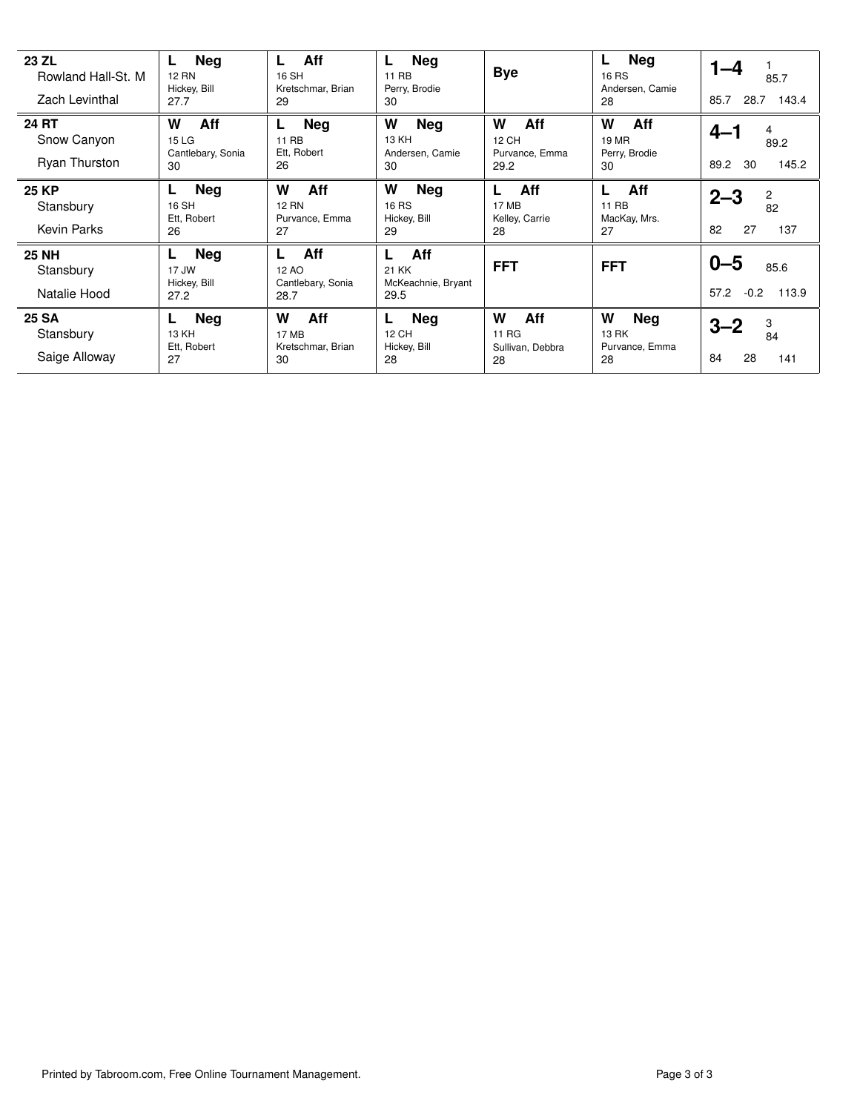| 23 ZL<br>Rowland Hall-St. M<br>Zach Levinthal       | <b>Neg</b><br>L.<br><b>12 RN</b><br>Hickey, Bill<br>27.7 | Aff<br>L.<br>16 SH<br>Kretschmar, Brian<br>29       | Neg<br>L.<br>11 RB<br>Perry, Brodie<br>30             | <b>Bye</b>                                  | <b>Neg</b><br>L.<br><b>16 RS</b><br>Andersen, Camie<br>28 | $1 - 4$<br>85.7<br>28.7 143.4<br>85.7       |
|-----------------------------------------------------|----------------------------------------------------------|-----------------------------------------------------|-------------------------------------------------------|---------------------------------------------|-----------------------------------------------------------|---------------------------------------------|
| <b>24 RT</b><br>Snow Canyon<br><b>Ryan Thurston</b> | Aff<br>W<br>15 LG<br>Cantlebary, Sonia<br>30             | <b>Neg</b><br>L.<br>11 RB<br>Ett, Robert<br>26      | W<br><b>Neg</b><br>13 KH<br>Andersen, Camie<br>30     | W<br>Aff<br>12 CH<br>Purvance, Emma<br>29.2 | W<br><b>Aff</b><br><b>19 MR</b><br>Perry, Brodie<br>30    | $4 - 1$<br>4<br>89.2<br>145.2<br>89.2<br>30 |
| <b>25 KP</b><br>Stansbury<br><b>Kevin Parks</b>     | <b>Neg</b><br>L.<br>16 SH<br>Ett, Robert<br>26           | W<br>Aff<br><b>12 RN</b><br>Purvance, Emma<br>27    | W<br><b>Neg</b><br><b>16 RS</b><br>Hickey, Bill<br>29 | Aff<br>17 MB<br>Kelley, Carrie<br>28        | Aff<br>11 RB<br>MacKay, Mrs.<br>27                        | 2<br>$2 - 3$<br>82<br>82<br>27<br>137       |
| <b>25 NH</b><br>Stansbury<br>Natalie Hood           | <b>Neg</b><br>L.<br>17 JW<br>Hickey, Bill<br>27.2        | Aff<br>L<br>12 AO<br>Cantlebary, Sonia<br>28.7      | Aff<br>L<br>21 KK<br>McKeachnie, Bryant<br>29.5       | <b>FFT</b>                                  | <b>FFT</b>                                                | $0 - 5$<br>85.6<br>57.2 -0.2 113.9          |
| <b>25 SA</b><br>Stansbury<br>Saige Alloway          | <b>Neg</b><br>L.<br>13 KH<br>Ett, Robert<br>27           | Aff<br>W<br><b>17 MB</b><br>Kretschmar, Brian<br>30 | <b>Neg</b><br>L.<br>12 CH<br>Hickey, Bill<br>28       | W<br>Aff<br>11 RG<br>Sullivan, Debbra<br>28 | W<br><b>Neg</b><br>13 RK<br>Purvance, Emma<br>28          | 3<br>$3 - 2$<br>84<br>84<br>28<br>141       |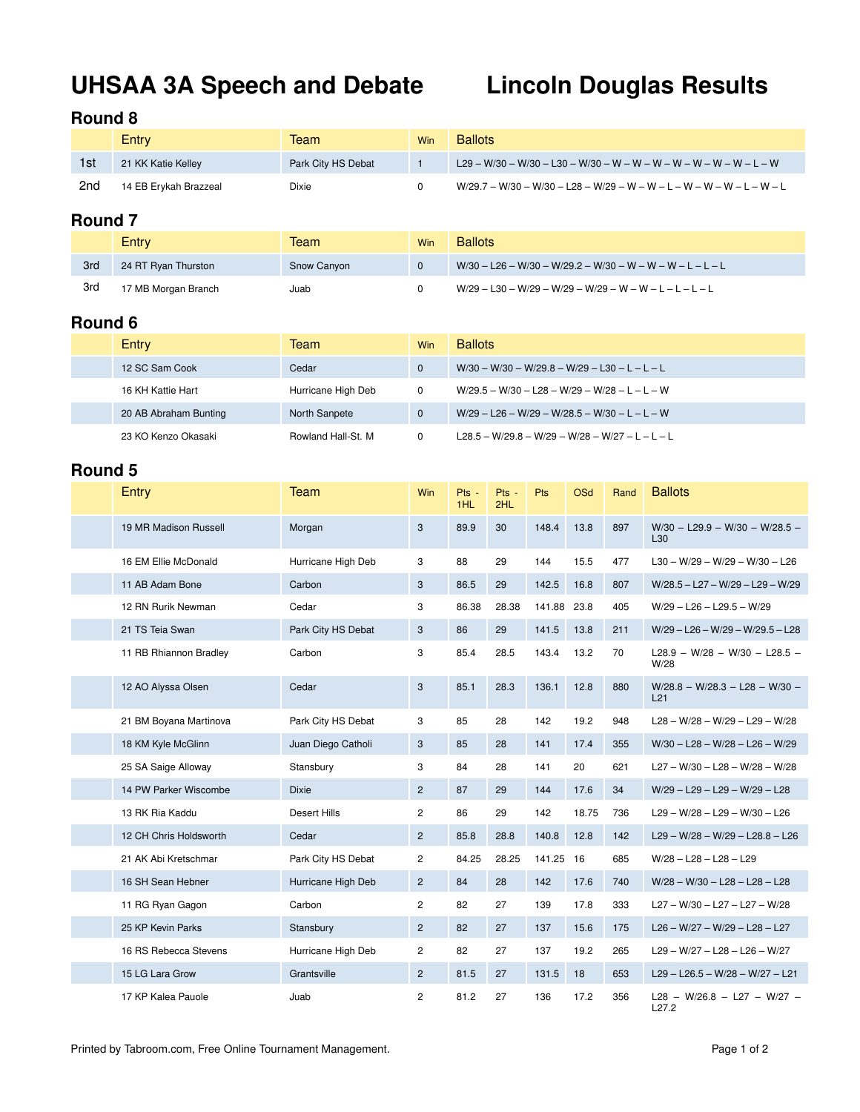# **UHSAA 3A Speech and Debate Lincoln Douglas Results**

### **Round 8**

|     | Entry                 | Team               | Win | <b>Ballots</b>                                                          |
|-----|-----------------------|--------------------|-----|-------------------------------------------------------------------------|
| 1st | 21 KK Katie Kelley    | Park City HS Debat |     | $129 - W/30 - W/30 - L30 - W/30 - W - W - W - W - W - W - W - L - W$    |
| 2nd | 14 EB Ervkah Brazzeal | Dixie              |     | $W/29.7 - W/30 - W/30 - L28 - W/29 - W - W - L - W - W - W - L - W - L$ |

## **Round 7**

|     | Entry               | Team        | Win | <b>Ballots</b>                                              |
|-----|---------------------|-------------|-----|-------------------------------------------------------------|
| 3rd | 24 RT Ryan Thurston | Snow Canyon |     | $W/30 - L26 - W/30 - W/29.2 - W/30 - W - W - W - L - L - L$ |
| 3rd | 17 MB Morgan Branch | Juab        |     | $W/29 - L30 - W/29 - W/29 - W/29 - W - W - L - L - L - L$   |

## **Round 6**

| Entry                 | Team               | <b>Win</b> | <b>Ballots</b>                                  |
|-----------------------|--------------------|------------|-------------------------------------------------|
| 12 SC Sam Cook        | Cedar              |            | $W/30 - W/30 - W/29.8 - W/29 - L30 - L - L - L$ |
| 16 KH Kattie Hart     | Hurricane High Deb | 0          | $W/29.5 - W/30 - L28 - W/29 - W/28 - L - L - W$ |
| 20 AB Abraham Bunting | North Sanpete      | $\Omega$   | $W/29 - L26 - W/29 - W/28.5 - W/30 - L - L - W$ |
| 23 KO Kenzo Okasaki   | Rowland Hall-St. M |            | L28.5 - W/29.8 - W/29 - W/28 - W/27 - L - L - L |

| Entry                  | <b>Team</b>         | Win            | Pts -<br>1HL | Pts -<br>2HL | Pts    | <b>OSd</b> | Rand | <b>Ballots</b>                                   |
|------------------------|---------------------|----------------|--------------|--------------|--------|------------|------|--------------------------------------------------|
| 19 MR Madison Russell  | Morgan              | 3              | 89.9         | 30           | 148.4  | 13.8       | 897  | $W/30 - L29.9 - W/30 - W/28.5 -$<br>L30          |
| 16 EM Ellie McDonald   | Hurricane High Deb  | 3              | 88           | 29           | 144    | 15.5       | 477  | $L30 - W/29 - W/29 - W/30 - L26$                 |
| 11 AB Adam Bone        | Carbon              | 3              | 86.5         | 29           | 142.5  | 16.8       | 807  | W/28.5 - L27 - W/29 - L29 - W/29                 |
| 12 RN Rurik Newman     | Cedar               | 3              | 86.38        | 28.38        | 141.88 | 23.8       | 405  | $W/29 - L26 - L29.5 - W/29$                      |
| 21 TS Teia Swan        | Park City HS Debat  | 3              | 86           | 29           | 141.5  | 13.8       | 211  | $W/29 - L26 - W/29 - W/29.5 - L28$               |
| 11 RB Rhiannon Bradley | Carbon              | 3              | 85.4         | 28.5         | 143.4  | 13.2       | 70   | L28.9 - W/28 - W/30 - L28.5 -<br>W/28            |
| 12 AO Alyssa Olsen     | Cedar               | $\mathbf{3}$   | 85.1         | 28.3         | 136.1  | 12.8       | 880  | $W/28.8 - W/28.3 - L28 - W/30 -$<br>L21          |
| 21 BM Boyana Martinova | Park City HS Debat  | 3              | 85           | 28           | 142    | 19.2       | 948  | $L28 - W/28 - W/29 - L29 - W/28$                 |
| 18 KM Kyle McGlinn     | Juan Diego Catholi  | 3              | 85           | 28           | 141    | 17.4       | 355  | $W/30 - L28 - W/28 - L26 - W/29$                 |
| 25 SA Saige Alloway    | Stansbury           | 3              | 84           | 28           | 141    | 20         | 621  | $L27 - W/30 - L28 - W/28 - W/28$                 |
| 14 PW Parker Wiscombe  | <b>Dixie</b>        | $\overline{2}$ | 87           | 29           | 144    | 17.6       | 34   | $W/29 - L29 - L29 - W/29 - L28$                  |
| 13 RK Ria Kaddu        | <b>Desert Hills</b> | $\mathbf{2}$   | 86           | 29           | 142    | 18.75      | 736  | $L29 - W/28 - L29 - W/30 - L26$                  |
| 12 CH Chris Holdsworth | Cedar               | $\overline{2}$ | 85.8         | 28.8         | 140.8  | 12.8       | 142  | $L29 - W/28 - W/29 - L28.8 - L26$                |
| 21 AK Abi Kretschmar   | Park City HS Debat  | $\overline{c}$ | 84.25        | 28.25        | 141.25 | 16         | 685  | $W/28 - L28 - L28 - L29$                         |
| 16 SH Sean Hebner      | Hurricane High Deb  | $\overline{2}$ | 84           | 28           | 142    | 17.6       | 740  | $W/28 - W/30 - L28 - L28 - L28$                  |
| 11 RG Ryan Gagon       | Carbon              | $\overline{c}$ | 82           | 27           | 139    | 17.8       | 333  | L27 - W/30 - L27 - L27 - W/28                    |
| 25 KP Kevin Parks      | Stansbury           | $\overline{2}$ | 82           | 27           | 137    | 15.6       | 175  | $L26 - W/27 - W/29 - L28 - L27$                  |
| 16 RS Rebecca Stevens  | Hurricane High Deb  | $\overline{c}$ | 82           | 27           | 137    | 19.2       | 265  | $L29 - W/27 - L28 - L26 - W/27$                  |
| 15 LG Lara Grow        | Grantsville         | $\overline{2}$ | 81.5         | 27           | 131.5  | 18         | 653  | $L29 - L26.5 - W/28 - W/27 - L21$                |
| 17 KP Kalea Pauole     | Juab                | $\overline{2}$ | 81.2         | 27           | 136    | 17.2       | 356  | L28 - W/26.8 - L27 - W/27 -<br>L <sub>27.2</sub> |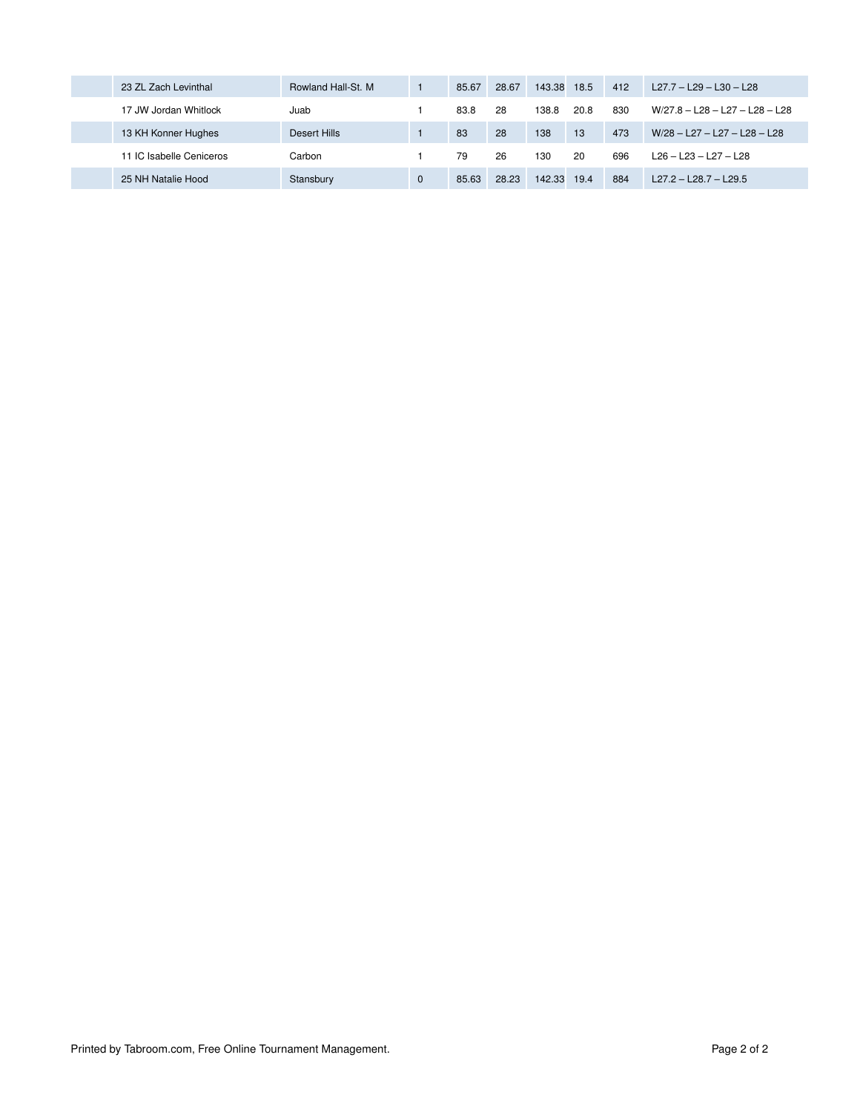| 23 ZL Zach Levinthal     | Rowland Hall-St. M | 85.67 | 28.67 | 143.38 | 18.5 | 412 | $L27.7 - L29 - L30 - L28$        |
|--------------------------|--------------------|-------|-------|--------|------|-----|----------------------------------|
| 17 JW Jordan Whitlock    | Juab               | 83.8  | 28    | 138.8  | 20.8 | 830 | $W/27.8 - L28 - L27 - L28 - L28$ |
| 13 KH Konner Hughes      | Desert Hills       | 83    | 28    | 138    | 13   | 473 | W/28 - L27 - L27 - L28 - L28     |
| 11 IC Isabelle Ceniceros | Carbon             | 79    | 26    | 130    | 20   | 696 | $L26 - L23 - L27 - L28$          |
| 25 NH Natalie Hood       | Stansbury          | 85.63 | 28.23 | 142.33 | 19.4 | 884 | $L27.2 - L28.7 - L29.5$          |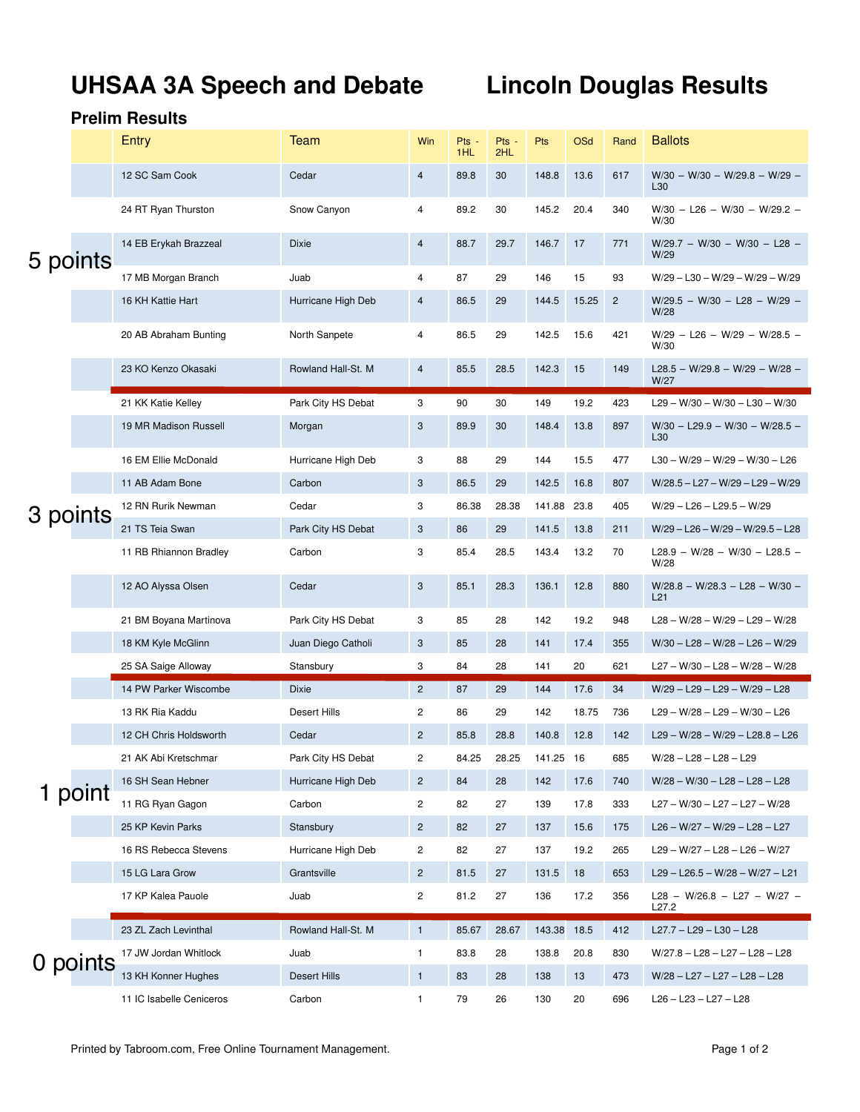# **UHSAA 3A Speech and Debate Lincoln Douglas Results**

|          |          | Entry                  | Team                | Win            | Pts -<br>1HL | Pts -<br>2HL | Pts       | <b>OSd</b> | Rand           | <b>Ballots</b>                                   |
|----------|----------|------------------------|---------------------|----------------|--------------|--------------|-----------|------------|----------------|--------------------------------------------------|
|          |          | 12 SC Sam Cook         | Cedar               | $\overline{4}$ | 89.8         | 30           | 148.8     | 13.6       | 617            | $W/30 - W/30 - W/29.8 - W/29 -$<br>L30           |
|          |          | 24 RT Ryan Thurston    | Snow Canyon         | 4              | 89.2         | 30           | 145.2     | 20.4       | 340            | $W/30 - L26 - W/30 - W/29.2 -$<br>W/30           |
| 5 points |          | 14 EB Erykah Brazzeal  | <b>Dixie</b>        | $\overline{4}$ | 88.7         | 29.7         | 146.7     | 17         | 771            | $W/29.7 - W/30 - W/30 - L28 -$<br>W/29           |
|          |          | 17 MB Morgan Branch    | Juab                | 4              | 87           | 29           | 146       | 15         | 93             | $W/29 - L30 - W/29 - W/29 - W/29$                |
|          |          | 16 KH Kattie Hart      | Hurricane High Deb  | 4              | 86.5         | 29           | 144.5     | 15.25      | $\overline{c}$ | $W/29.5 - W/30 - L28 - W/29 -$<br>W/28           |
|          |          | 20 AB Abraham Bunting  | North Sanpete       | 4              | 86.5         | 29           | 142.5     | 15.6       | 421            | $W/29 - L26 - W/29 - W/28.5 -$<br>W/30           |
|          |          | 23 KO Kenzo Okasaki    | Rowland Hall-St. M  | $\overline{4}$ | 85.5         | 28.5         | 142.3     | 15         | 149            | L28.5 - W/29.8 - W/29 - W/28 -<br>W/27           |
|          |          | 21 KK Katie Kelley     | Park City HS Debat  | 3              | 90           | 30           | 149       | 19.2       | 423            | $L29 - W/30 - W/30 - L30 - W/30$                 |
|          |          | 19 MR Madison Russell  | Morgan              | 3              | 89.9         | 30           | 148.4     | 13.8       | 897            | $W/30 - L29.9 - W/30 - W/28.5 -$<br>L30          |
|          |          | 16 EM Ellie McDonald   | Hurricane High Deb  | 3              | 88           | 29           | 144       | 15.5       | 477            | $L30 - W/29 - W/29 - W/30 - L26$                 |
|          |          | 11 AB Adam Bone        | Carbon              | 3              | 86.5         | 29           | 142.5     | 16.8       | 807            | W/28.5 - L27 - W/29 - L29 - W/29                 |
| 3 points |          | 12 RN Rurik Newman     | Cedar               | 3              | 86.38        | 28.38        | 141.88    | 23.8       | 405            | $W/29 - L26 - L29.5 - W/29$                      |
|          |          | 21 TS Teia Swan        | Park City HS Debat  | 3              | 86           | 29           | 141.5     | 13.8       | 211            | $W/29 - L26 - W/29 - W/29.5 - L28$               |
|          |          | 11 RB Rhiannon Bradley | Carbon              | 3              | 85.4         | 28.5         | 143.4     | 13.2       | 70             | L28.9 - W/28 - W/30 - L28.5 -<br>W/28            |
|          |          | 12 AO Alyssa Olsen     | Cedar               | 3              | 85.1         | 28.3         | 136.1     | 12.8       | 880            | $W/28.8 - W/28.3 - L28 - W/30 -$<br>L21          |
|          |          | 21 BM Boyana Martinova | Park City HS Debat  | 3              | 85           | 28           | 142       | 19.2       | 948            | $L28 - W/28 - W/29 - L29 - W/28$                 |
|          |          | 18 KM Kyle McGlinn     | Juan Diego Catholi  | 3              | 85           | 28           | 141       | 17.4       | 355            | $W/30 - L28 - W/28 - L26 - W/29$                 |
|          |          |                        |                     |                |              |              |           |            |                |                                                  |
|          |          | 25 SA Saige Alloway    | Stansbury           | 3              | 84           | 28           | 141       | 20         | 621            | $L27 - W/30 - L28 - W/28 - W/28$                 |
|          |          | 14 PW Parker Wiscombe  | <b>Dixie</b>        | $\overline{2}$ | 87           | 29           | 144       | 17.6       | 34             | W/29 - L29 - L29 - W/29 - L28                    |
|          |          | 13 RK Ria Kaddu        | Desert Hills        | 2              | 86           | 29           | 142       | 18.75      | 736            | $L29 - W/28 - L29 - W/30 - L26$                  |
|          |          | 12 CH Chris Holdsworth | Cedar               | $\overline{c}$ | 85.8         | 28.8         | 140.8     | 12.8       | 142            | $L29 - W/28 - W/29 - L28.8 - L26$                |
|          |          | 21 AK Abi Kretschmar   | Park City HS Debat  | 2              | 84.25        | 28.25        | 141.25 16 |            | 685            | $W/28 - L28 - L28 - L29$                         |
|          |          | 16 SH Sean Hebner      | Hurricane High Deb  | $\overline{c}$ | 84           | 28           | 142       | 17.6       | 740            | $W/28 - W/30 - L28 - L28 - L28$                  |
|          | point    | 11 RG Ryan Gagon       | Carbon              | 2              | 82           | 27           | 139       | 17.8       | 333            | L27 - W/30 - L27 - L27 - W/28                    |
|          |          | 25 KP Kevin Parks      | Stansbury           | $\overline{c}$ | 82           | 27           | 137       | 15.6       | 175            | $L26 - W/27 - W/29 - L28 - L27$                  |
|          |          | 16 RS Rebecca Stevens  | Hurricane High Deb  | 2              | 82           | 27           | 137       | 19.2       | 265            | $L29 - W/27 - L28 - L26 - W/27$                  |
|          |          | 15 LG Lara Grow        | Grantsville         | $\overline{c}$ | 81.5         | 27           | 131.5     | 18         | 653            | $L29 - L26.5 - W/28 - W/27 - L21$                |
|          |          | 17 KP Kalea Pauole     | Juab                | 2              | 81.2         | 27           | 136       | 17.2       | 356            | L28 - W/26.8 - L27 - W/27 -<br>L <sub>27.2</sub> |
|          |          | 23 ZL Zach Levinthal   | Rowland Hall-St. M  | $\mathbf{1}$   | 85.67        | 28.67        | 143.38    | 18.5       | 412            | $L27.7 - L29 - L30 - L28$                        |
|          |          | 17 JW Jordan Whitlock  | Juab                | 1              | 83.8         | 28           | 138.8     | 20.8       | 830            | W/27.8 - L28 - L27 - L28 - L28                   |
|          | 0 points | 13 KH Konner Hughes    | <b>Desert Hills</b> | $\mathbf{1}$   | 83           | 28           | 138       | 13         | 473            | W/28 - L27 - L27 - L28 - L28                     |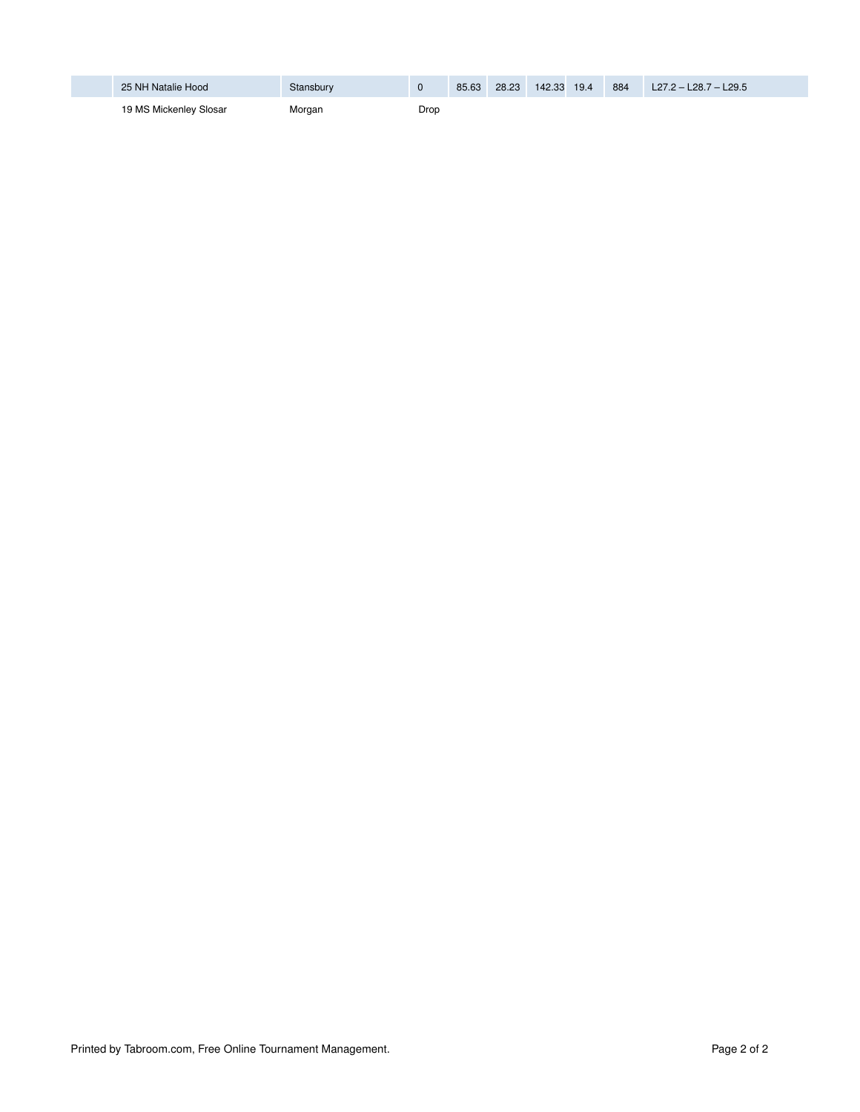| 25 NH Natalie Hood     | Stansbury |      | 85.63 | 28.23 | 142.33 | 19.4 | 884 | $L27.2 - L28.7 - L29.5$ |
|------------------------|-----------|------|-------|-------|--------|------|-----|-------------------------|
| 19 MS Mickenley Slosar | Morgan    | Drop |       |       |        |      |     |                         |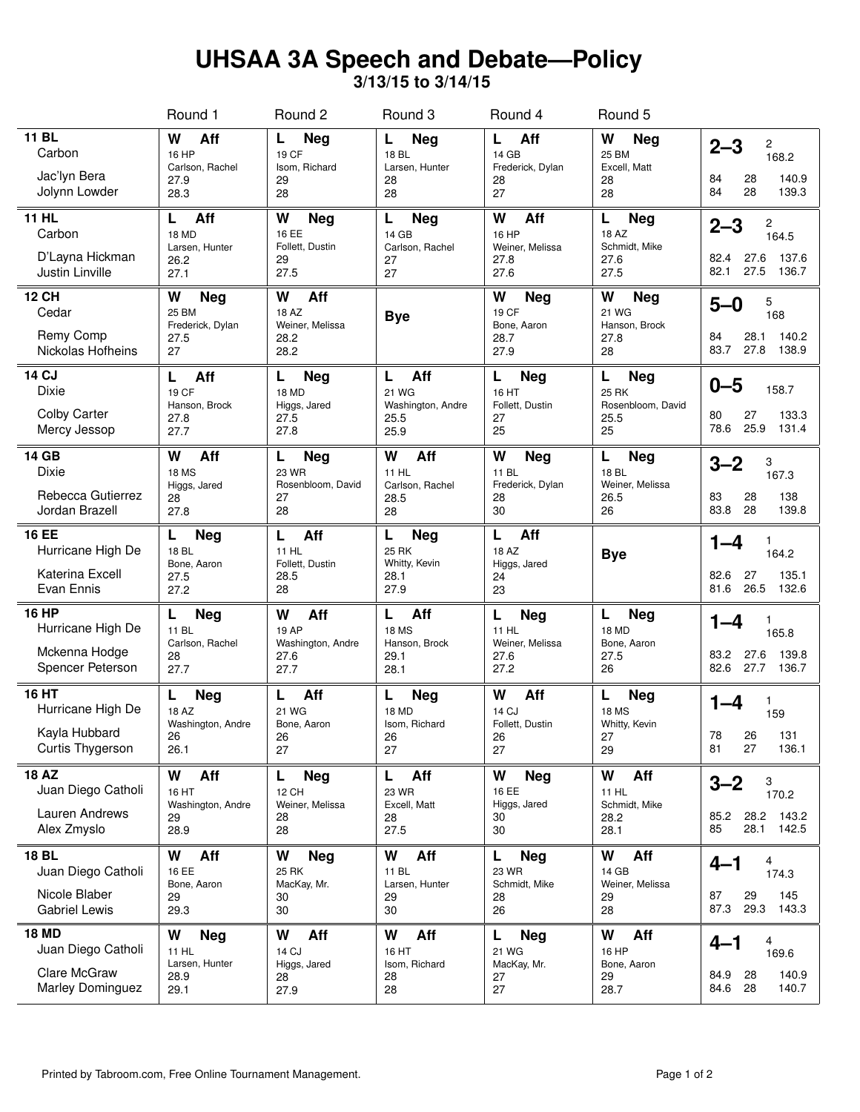# **UHSAA 3A Speech and Debate—Policy**

**3/13/15 to 3/14/15**

|                                                                               | Round 1                                                     | Round 2                                                        | Round 3                                                    | Round 4                                                                                              | Round 5                                                      |                                                                         |
|-------------------------------------------------------------------------------|-------------------------------------------------------------|----------------------------------------------------------------|------------------------------------------------------------|------------------------------------------------------------------------------------------------------|--------------------------------------------------------------|-------------------------------------------------------------------------|
| <b>11 BL</b><br>Carbon<br>Jac'lyn Bera<br>Jolynn Lowder                       | W<br>Aff<br>16 HP<br>Carlson, Rachel<br>27.9<br>28.3        | Neg<br>L<br>19 CF<br>Isom, Richard<br>29<br>28                 | L<br><b>Neg</b><br>18 BL<br>Larsen, Hunter<br>28<br>28     | Aff<br>L<br>14 GB<br>Frederick, Dylan<br>28<br>27                                                    | W<br>Neg<br>25 BM<br>Excell, Matt<br>28<br>28                | $2 - 3$<br>2<br>168.2<br>84<br>28<br>140.9<br>84<br>28<br>139.3         |
| <b>11 HL</b><br>Carbon<br>D'Layna Hickman<br>Justin Linville                  | Aff<br>L<br>18 MD<br>Larsen, Hunter<br>26.2<br>27.1         | W<br><b>Neg</b><br>16 EE<br>Follett, Dustin<br>29<br>27.5      | L<br><b>Neg</b><br>14 GB<br>Carlson, Rachel<br>27<br>27    | W<br>Aff<br>16 HP<br>Weiner, Melissa<br>27.8<br>27.6                                                 | <b>Neg</b><br>L<br>18 AZ<br>Schmidt, Mike<br>27.6<br>27.5    | $2 - 3$<br>2<br>164.5<br>27.6<br>137.6<br>82.4<br>82.1<br>27.5<br>136.7 |
| <b>12 CH</b><br>Cedar<br><b>Remy Comp</b><br>Nickolas Hofheins                | W<br><b>Neg</b><br>25 BM<br>Frederick, Dylan<br>27.5<br>27  | Aff<br>W<br>18 AZ<br>Weiner, Melissa<br>28.2<br>28.2           | <b>Bye</b>                                                 | W<br>W<br><b>Neg</b><br>19 CF<br>21 WG<br>Bone, Aaron<br>Hanson, Brock<br>28.7<br>27.8<br>27.9<br>28 |                                                              | 5<br>$5-0$<br>168<br>140.2<br>84<br>28.1<br>83.7<br>27.8 138.9          |
| <b>14 CJ</b><br>Dixie<br><b>Colby Carter</b><br>Mercy Jessop                  | Aff<br>L<br>19 CF<br>Hanson, Brock<br>27.8<br>27.7          | <b>Neg</b><br>L<br>18 MD<br>Higgs, Jared<br>27.5<br>27.8       | Aff<br>L<br>21 WG<br>Washington, Andre<br>25.5<br>25.9     | L<br><b>Neg</b><br>16 HT<br>Follett, Dustin<br>27<br>25                                              | L<br><b>Neg</b><br>25 RK<br>Rosenbloom, David<br>25.5<br>25  | $0 - 5$<br>158.7<br>133.3<br>80<br>27<br>78.6<br>25.9<br>131.4          |
| <b>14 GB</b><br>Dixie<br>Rebecca Gutierrez<br>Jordan Brazell                  | W<br>Aff<br><b>18 MS</b><br>Higgs, Jared<br>28<br>27.8      | L<br><b>Neg</b><br>23 WR<br>Rosenbloom, David<br>27<br>28      | W<br>Aff<br>11 HL<br>Carlson, Rachel<br>28.5<br>28         | W<br>Neg<br>11 BL<br>Frederick, Dylan<br>28<br>30                                                    | L<br><b>Neg</b><br>18 BL<br>Weiner, Melissa<br>26.5<br>26    | $3 - 2$<br>3<br>167.3<br>28<br>138<br>83<br>83.8<br>28<br>139.8         |
| <b>16 EE</b><br>Hurricane High De<br>Katerina Excell<br>Evan Ennis            | Neg<br>L<br>18 BL<br>Bone, Aaron<br>27.5<br>27.2            | Aff<br>L<br>11 HL<br>Follett, Dustin<br>28.5<br>28             | Neg<br>L<br><b>25 RK</b><br>Whitty, Kevin<br>28.1<br>27.9  | Aff<br>L<br>18 AZ<br>Higgs, Jared<br>24<br>23                                                        | <b>Bye</b>                                                   | $1 - 4$<br>164.2<br>82.6<br>27<br>135.1<br>81.6<br>26.5<br>132.6        |
| 16 HP<br>Hurricane High De<br>Mckenna Hodge<br>Spencer Peterson               | Neg<br>L.<br>11 BL<br>Carlson, Rachel<br>28<br>27.7         | Aff<br>W<br>19 AP<br>Washington, Andre<br>27.6<br>27.7         | Aff<br>L.<br><b>18 MS</b><br>Hanson, Brock<br>29.1<br>28.1 | L<br><b>Neg</b><br>11 HL<br>Weiner, Melissa<br>27.6<br>27.2                                          | <b>Neg</b><br>L<br>18 MD<br>Bone, Aaron<br>27.5<br>26        | $1 - 4$<br>165.8<br>27.6<br>139.8<br>83.2<br>27.7 136.7<br>82.6         |
| 16 HT<br>Hurricane High De<br>Kayla Hubbard<br>Curtis Thygerson               | <b>Neg</b><br>L<br>18 AZ<br>Washington, Andre<br>26<br>26.1 | Aff<br>L<br>21 WG<br>Bone, Aaron<br>26<br>27                   | L<br>Neg<br>18 MD<br>Isom, Richard<br>26<br>27             | W<br>Aff<br>14 CJ<br>Follett, Dustin<br>26<br>27                                                     | L<br><b>Neg</b><br><b>18 MS</b><br>Whitty, Kevin<br>27<br>29 | $1 - 4$<br>1<br>159<br>78<br>26<br>131<br>81<br>27<br>136.1             |
| <b>18 AZ</b><br>Juan Diego Catholi<br>Lauren Andrews<br>Alex Zmyslo           | W<br>Aff<br>16 HT<br>Washington, Andre<br>29<br>28.9        | L<br><b>Neg</b><br><b>12 CH</b><br>Weiner, Melissa<br>28<br>28 | L<br>Aff<br>23 WR<br>Excell, Matt<br>28<br>27.5            | W<br>Neg<br>16 EE<br>Higgs, Jared<br>30<br>30                                                        | W<br>Aff<br>11 HL<br>Schmidt, Mike<br>28.2<br>28.1           | 3<br>$3 - 2$<br>170.2<br>28.2 143.2<br>85.2<br>85<br>28.1 142.5         |
| <b>18 BL</b><br>Juan Diego Catholi<br>Nicole Blaber<br><b>Gabriel Lewis</b>   | Aff<br>W<br>16 EE<br>Bone, Aaron<br>29<br>29.3              | W<br><b>Neg</b><br><b>25 RK</b><br>MacKay, Mr.<br>30<br>30     | W<br>Aff<br>11 BL<br>Larsen, Hunter<br>29<br>30            | L<br><b>Neg</b><br>23 WR<br>Schmidt, Mike<br>28<br>26                                                | W<br>Aff<br>14 GB<br>Weiner, Melissa<br>29<br>28             | $4 - 1$<br>4<br>174.3<br>145<br>87<br>29<br>29.3<br>87.3<br>143.3       |
| <b>18 MD</b><br>Juan Diego Catholi<br>Clare McGraw<br><b>Marley Dominguez</b> | W<br><b>Neg</b><br>11 HL<br>Larsen, Hunter<br>28.9<br>29.1  | W<br>Aff<br>14 CJ<br>Higgs, Jared<br>28<br>27.9                | W<br>Aff<br>16 HT<br>Isom, Richard<br>28<br>28             | L<br><b>Neg</b><br>21 WG<br>MacKay, Mr.<br>27<br>27                                                  | W<br>Aff<br>16 HP<br>Bone, Aaron<br>29<br>28.7               | 4<br>$4 - 1$<br>169.6<br>84.9<br>28<br>140.9<br>84.6 28<br>140.7        |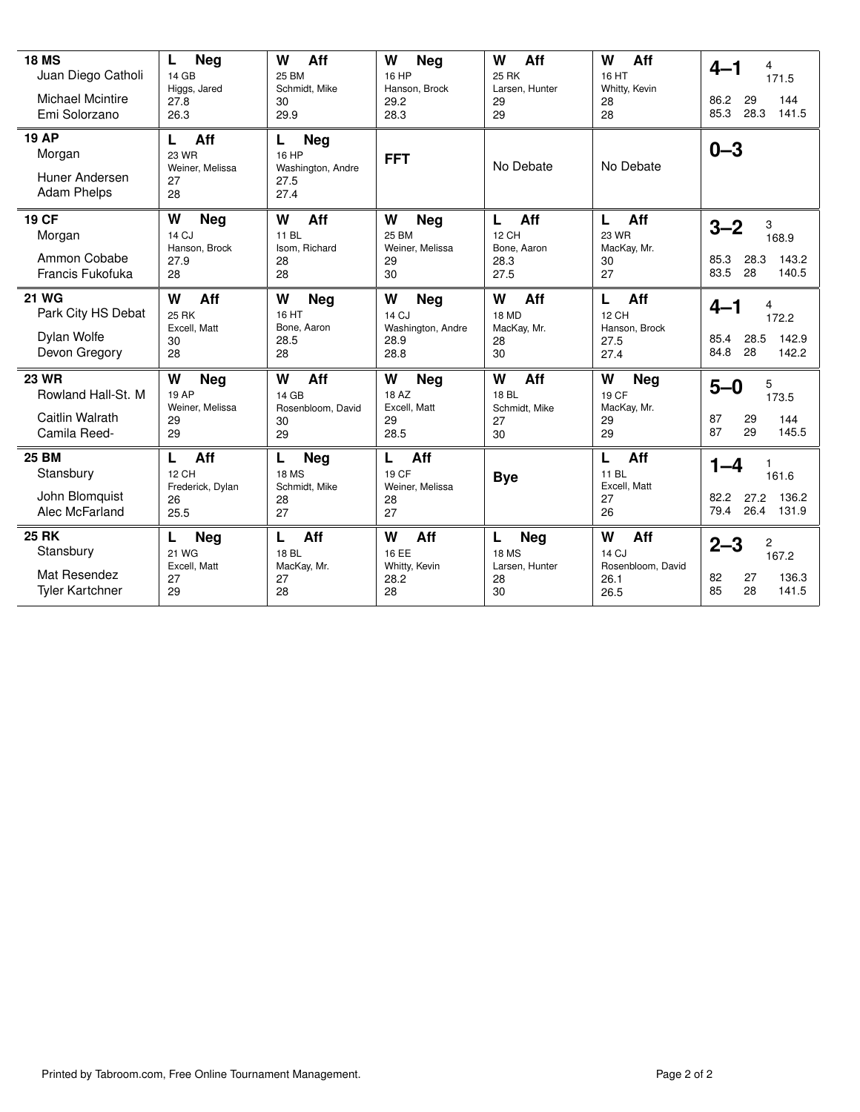| <b>18 MS</b><br>Juan Diego Catholi<br><b>Michael Mcintire</b><br>Emi Solorzano | L<br>Neg<br>14 GB<br>Higgs, Jared<br>27.8<br>26.3       | W<br>Aff<br>25 BM<br>Schmidt, Mike<br>30<br>29.9             | W<br><b>Neg</b><br>16 HP<br>Hanson, Brock<br>29.2<br>28.3     | W<br>Aff<br><b>25 RK</b><br>Larsen, Hunter<br>29<br>29        | W<br>Aff<br>16 HT<br>Whitty, Kevin<br>28<br>28            | $4 - 1$<br>4<br>171.5<br>144<br>86.2<br>29<br>28.3<br>141.5<br>85.3   |
|--------------------------------------------------------------------------------|---------------------------------------------------------|--------------------------------------------------------------|---------------------------------------------------------------|---------------------------------------------------------------|-----------------------------------------------------------|-----------------------------------------------------------------------|
| <b>19 AP</b><br>Morgan<br>Huner Andersen<br><b>Adam Phelps</b>                 | Aff<br>L<br>23 WR<br>Weiner, Melissa<br>27<br>28        | Neg<br>L<br>16 HP<br>Washington, Andre<br>27.5<br>27.4       | <b>FFT</b>                                                    | No Debate                                                     | No Debate                                                 | $0 - 3$                                                               |
| <b>19 CF</b><br>Morgan<br>Ammon Cobabe<br>Francis Fukofuka                     | W<br><b>Neg</b><br>14 CJ<br>Hanson, Brock<br>27.9<br>28 | W<br>Aff<br>11 BL<br>Isom, Richard<br>28<br>28               | W<br><b>Neg</b><br>25 BM<br>Weiner, Melissa<br>29<br>30       | L<br>Aff<br><b>12 CH</b><br>Bone, Aaron<br>28.3<br>27.5       | L<br>Aff<br>23 WR<br>MacKay, Mr.<br>30<br>27              | $3 - 2$<br>3<br>168.9<br>143.2<br>28.3<br>85.3<br>83.5<br>28<br>140.5 |
| <b>21 WG</b><br>Park City HS Debat<br>Dylan Wolfe<br>Devon Gregory             | W<br>Aff<br><b>25 RK</b><br>Excell, Matt<br>30<br>28    | W<br><b>Neg</b><br>16 HT<br>Bone, Aaron<br>28.5<br>28        | W<br><b>Neg</b><br>14 CJ<br>Washington, Andre<br>28.9<br>28.8 | W<br>Aff<br>18 MD<br>MacKay, Mr.<br>28<br>30                  | Aff<br>L<br><b>12 CH</b><br>Hanson, Brock<br>27.5<br>27.4 | 4<br>$4 - 1$<br>172.2<br>28.5<br>142.9<br>85.4<br>28<br>84.8<br>142.2 |
| <b>23 WR</b><br>Rowland Hall-St. M<br>Caitlin Walrath<br>Camila Reed-          | W<br><b>Neg</b><br>19 AP<br>Weiner, Melissa<br>29<br>29 | W<br>Aff<br>14 GB<br>Rosenbloom, David<br>30<br>29           | W<br><b>Neg</b><br>18 AZ<br>Excell, Matt<br>29<br>28.5        | W<br>Aff<br>18 BL<br>Schmidt, Mike<br>27<br>30                | W<br><b>Neg</b><br>19 CF<br>MacKay, Mr.<br>29<br>29       | 5<br>$5 - 0$<br>173.5<br>144<br>87<br>29<br>87<br>29<br>145.5         |
| <b>25 BM</b><br>Stansbury<br>John Blomquist<br>Alec McFarland                  | Aff<br>L<br>12 CH<br>Frederick, Dylan<br>26<br>25.5     | <b>Neg</b><br>L<br><b>18 MS</b><br>Schmidt, Mike<br>28<br>27 | Aff<br>L<br>19 CF<br>Weiner, Melissa<br>28<br>27              | <b>Bye</b>                                                    | L<br>Aff<br>11 BL<br>Excell, Matt<br>27<br>26             | $1 - 4$<br>161.6<br>136.2<br>82.2<br>27.2<br>26.4 131.9<br>79.4       |
| <b>25 RK</b><br>Stansbury<br>Mat Resendez<br><b>Tyler Kartchner</b>            | L<br><b>Neg</b><br>21 WG<br>Excell, Matt<br>27<br>29    | Aff<br>L<br>18 BL<br>MacKay, Mr.<br>27<br>28                 | W<br>Aff<br>16 EE<br>Whitty, Kevin<br>28.2<br>28              | L<br><b>Neg</b><br><b>18 MS</b><br>Larsen, Hunter<br>28<br>30 | W<br>Aff<br>14 CJ<br>Rosenbloom, David<br>26.1<br>26.5    | $2 - 3$<br>2<br>167.2<br>82<br>27<br>136.3<br>85<br>28<br>141.5       |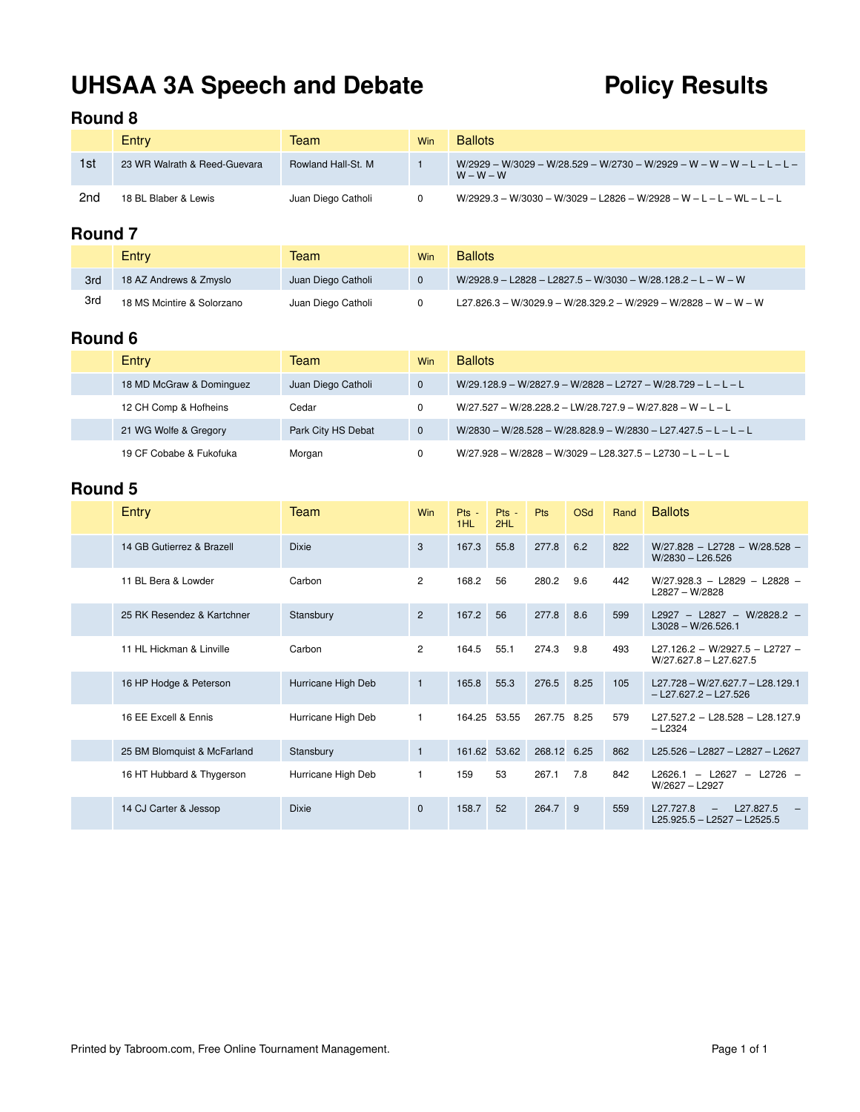# UHSAA 3A Speech and Debate **Policy Results**

### **Round 8**

|     | Entry                        | Team               | Win | <b>Ballots</b>                                                                        |
|-----|------------------------------|--------------------|-----|---------------------------------------------------------------------------------------|
| 1st | 23 WR Walrath & Reed-Guevara | Rowland Hall-St. M |     | W/2929 - W/3029 - W/28.529 - W/2730 - W/2929 - W - W - W - L - L - L -<br>$W - W - W$ |
| 2nd | 18 BL Blaber & Lewis         | Juan Diego Catholi |     | W/2929.3 - W/3030 - W/3029 - L2826 - W/2928 - W - L - L - WL - L - L                  |

## **Round 7**

|     | Entry                      | Team               | Win | <b>Ballots</b>                                                    |
|-----|----------------------------|--------------------|-----|-------------------------------------------------------------------|
| 3rd | 18 AZ Andrews & Zmyslo     | Juan Diego Catholi |     | $W/2928.9 - L2828 - L2827.5 - W/3030 - W/28.128.2 - L - W - W$    |
| 3rd | 18 MS Mcintire & Solorzano | Juan Diego Catholi |     | $L27.826.3 - W/3029.9 - W/28.329.2 - W/2929 - W/2828 - W - W - W$ |

## **Round 6**

| Entry                    | Team               | Win          | <b>Ballots</b>                                                  |
|--------------------------|--------------------|--------------|-----------------------------------------------------------------|
| 18 MD McGraw & Dominguez | Juan Diego Catholi | $\Omega$     | $W/29.128.9 - W/2827.9 - W/2828 - L2727 - W/28.729 - L - L - L$ |
| 12 CH Comp & Hofheins    | Cedar              | 0            | $W/27.527 - W/28.228.2 - LW/28.727.9 - W/27.828 - W - L - L$    |
| 21 WG Wolfe & Gregory    | Park City HS Debat | $\mathbf{0}$ | W/2830 - W/28.528 - W/28.828.9 - W/2830 - L27.427.5 - L - L - L |
| 19 CF Cobabe & Fukofuka  | Morgan             | 0            | $W/27.928 - W/2828 - W/3029 - L28.327.5 - L2730 - L - L - L$    |

| Entry                       | Team               | Win            | $Pts -$<br>1HL | $Pts -$<br>2HL | <b>Pts</b>  | <b>OSd</b> | Rand | <b>Ballots</b>                                                               |
|-----------------------------|--------------------|----------------|----------------|----------------|-------------|------------|------|------------------------------------------------------------------------------|
| 14 GB Gutierrez & Brazell   | <b>Dixie</b>       | 3              | 167.3          | 55.8           | 277.8       | 6.2        | 822  | $W/27.828 - L2728 - W/28.528 -$<br>$W/2830 - L26.526$                        |
| 11 BL Bera & Lowder         | Carbon             | $\overline{2}$ | 168.2          | 56             | 280.2       | 9.6        | 442  | $W/27.928.3 - L2829 - L2828 -$<br>L2827 - W/2828                             |
| 25 RK Resendez & Kartchner  | Stansbury          | 2              | 167.2          | 56             | 277.8       | 8.6        | 599  | $L2927 - L2827 - W/2828.2 -$<br>$L3028 - W/26.526.1$                         |
| 11 HL Hickman & Linville    | Carbon             | $\mathbf{2}$   | 164.5          | 55.1           | 274.3       | 9.8        | 493  | L27.126.2 - W/2927.5 - L2727 -<br>$W/27.627.8 - L27.627.5$                   |
| 16 HP Hodge & Peterson      | Hurricane High Deb | $\mathbf{1}$   | 165.8          | 55.3           | 276.5       | 8.25       | 105  | $L27.728 - W/27.627.7 - L28.129.1$<br>$-$ L27.627.2 - L27.526                |
| 16 EE Excell & Ennis        | Hurricane High Deb | 1              | 164.25         | 53.55          | 267.75 8.25 |            | 579  | L27.527.2 - L28.528 - L28.127.9<br>$-$ L <sub>2324</sub>                     |
| 25 BM Blomquist & McFarland | Stansbury          | $\mathbf{1}$   | 161.62         | 53.62          | 268.12      | 6.25       | 862  | L25.526 - L2827 - L2827 - L2627                                              |
| 16 HT Hubbard & Thygerson   | Hurricane High Deb | $\mathbf{1}$   | 159            | 53             | 267.1       | 7.8        | 842  | $-$ L <sub>2627</sub><br>$-$ L2726 $-$<br>L2626.1<br>W/2627 - L2927          |
| 14 CJ Carter & Jessop       | <b>Dixie</b>       | $\mathbf{0}$   | 158.7          | 52             | 264.7       | 9          | 559  | L27.827.5<br>L27.727.8<br>$\qquad \qquad -$<br>$L25.925.5 - L2527 - L2525.5$ |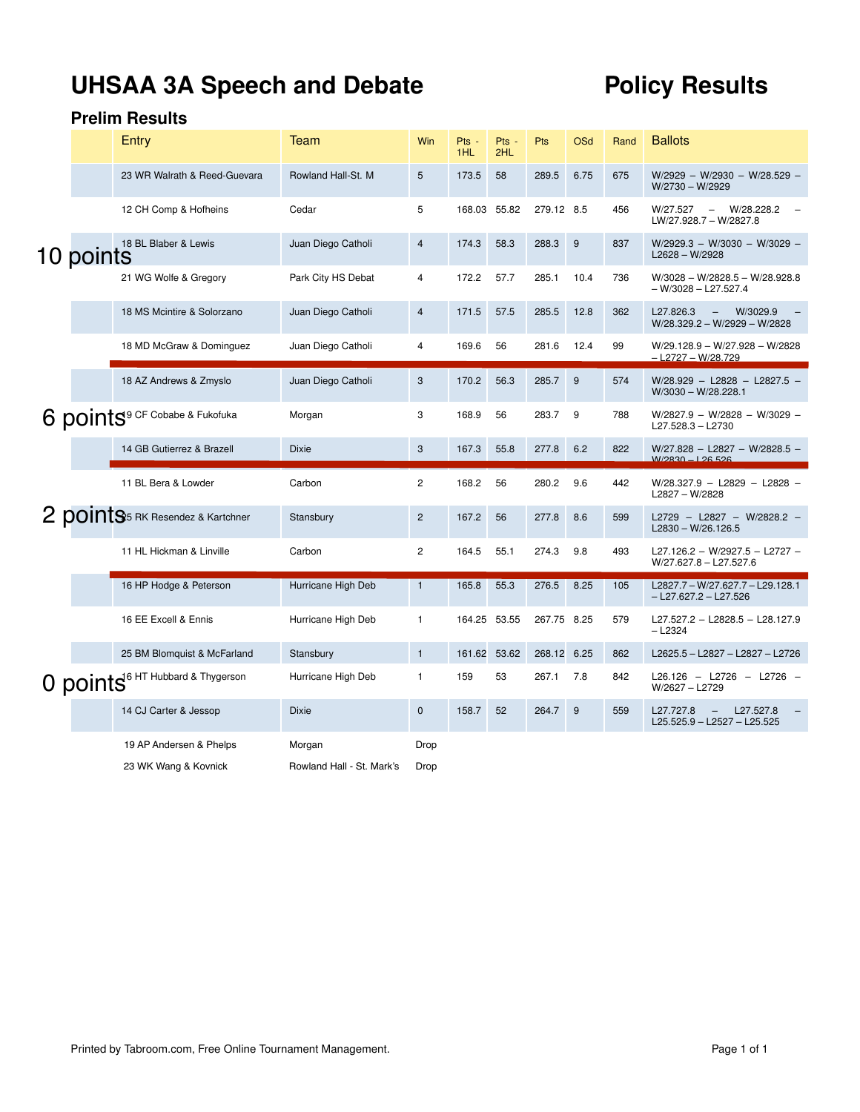# UHSAA 3A Speech and Debate **Policy Results**

|           | Entry                                            | Team               | Win            | Pts -<br>1HL | Pts -<br>2HL | Pts         | OSd  | Rand | <b>Ballots</b>                                                               |
|-----------|--------------------------------------------------|--------------------|----------------|--------------|--------------|-------------|------|------|------------------------------------------------------------------------------|
|           | 23 WR Walrath & Reed-Guevara                     | Rowland Hall-St. M | 5              | 173.5        | 58           | 289.5       | 6.75 | 675  | W/2929 - W/2930 - W/28.529 -<br>W/2730 - W/2929                              |
|           | 12 CH Comp & Hofheins                            | Cedar              | 5              | 168.03       | 55.82        | 279.12 8.5  |      | 456  | W/28.228.2<br>W/27.527<br>$\overline{\phantom{a}}$<br>LW/27.928.7 - W/2827.8 |
| 10 points | 18 BL Blaber & Lewis                             | Juan Diego Catholi | $\overline{4}$ | 174.3        | 58.3         | 288.3       | 9    | 837  | W/2929.3 - W/3030 - W/3029 -<br>L2628 - W/2928                               |
|           | 21 WG Wolfe & Gregory                            | Park City HS Debat | 4              | 172.2        | 57.7         | 285.1       | 10.4 | 736  | $W/3028 - W/2828.5 - W/28.928.8$<br>– W/3028 – L27.527.4                     |
|           | 18 MS Mcintire & Solorzano                       | Juan Diego Catholi | $\overline{4}$ | 171.5        | 57.5         | 285.5       | 12.8 | 362  | L27.826.3<br>W/3029.9<br>W/28.329.2 - W/2929 - W/2828                        |
|           | 18 MD McGraw & Dominguez                         | Juan Diego Catholi | $\overline{4}$ | 169.6        | 56           | 281.6       | 12.4 | 99   | W/29.128.9 - W/27.928 - W/2828<br>- L2727 - W/28.729                         |
|           | 18 AZ Andrews & Zmyslo                           | Juan Diego Catholi | 3              | 170.2        | 56.3         | 285.7       | 9    | 574  | $W/28.929 - L2828 - L2827.5 -$<br>$W/3030 - W/28.228.1$                      |
|           | 6 points <sup>9</sup> CF Cobabe & Fukofuka       | Morgan             | 3              | 168.9        | 56           | 283.7       | 9    | 788  | W/2827.9 - W/2828 - W/3029 -<br>L27.528.3 - L2730                            |
|           |                                                  |                    |                |              |              |             |      |      |                                                                              |
|           | 14 GB Gutierrez & Brazell                        | <b>Dixie</b>       | 3              | 167.3        | 55.8         | 277.8       | 6.2  | 822  | W/27.828 - L2827 - W/2828.5 -<br>W/2830-126526                               |
|           | 11 BL Bera & Lowder                              | Carbon             | $\overline{c}$ | 168.2        | 56           | 280.2       | 9.6  | 442  | W/28.327.9 - L2829 - L2828 -<br>L2827 - W/2828                               |
|           | 2 points RK Resendez & Kartchner                 | Stansbury          | $\mathbf{2}$   | 167.2        | 56           | 277.8       | 8.6  | 599  | L2729 - L2827 - W/2828.2 -<br>$L2830 - W/26.126.5$                           |
|           | 11 HL Hickman & Linville                         | Carbon             | $\overline{c}$ | 164.5        | 55.1         | 274.3       | 9.8  | 493  | L27.126.2 - W/2927.5 - L2727 -<br>$W/27.627.8 - L27.527.6$                   |
|           | 16 HP Hodge & Peterson                           | Hurricane High Deb | $\mathbf{1}$   | 165.8        | 55.3         | 276.5       | 8.25 | 105  | L2827.7 - W/27.627.7 - L29.128.1<br>$-$ L27.627.2 $-$ L27.526                |
|           | 16 EE Excell & Ennis                             | Hurricane High Deb | $\mathbf{1}$   | 164.25 53.55 |              | 267.75 8.25 |      | 579  | L27.527.2 - L2828.5 - L28.127.9<br>$-$ L2324                                 |
|           | 25 BM Blomquist & McFarland                      | Stansbury          | $\mathbf{1}$   | 161.62       | 53.62        | 268.12 6.25 |      | 862  | L2625.5 - L2827 - L2827 - L2726                                              |
|           | O points <sup>6 HT Hubbard &amp; Thygerson</sup> | Hurricane High Deb | $\mathbf{1}$   | 159          | 53           | 267.1       | 7.8  | 842  | L26.126 - L2726 - L2726 -<br>W/2627 - L2729                                  |
|           | 14 CJ Carter & Jessop                            | <b>Dixie</b>       | $\mathbf{0}$   | 158.7        | 52           | 264.7       | 9    | 559  | L27.727.8<br>L27.527.8<br>L25.525.9 - L2527 - L25.525                        |
|           | 19 AP Andersen & Phelps                          | Morgan             | Drop           |              |              |             |      |      |                                                                              |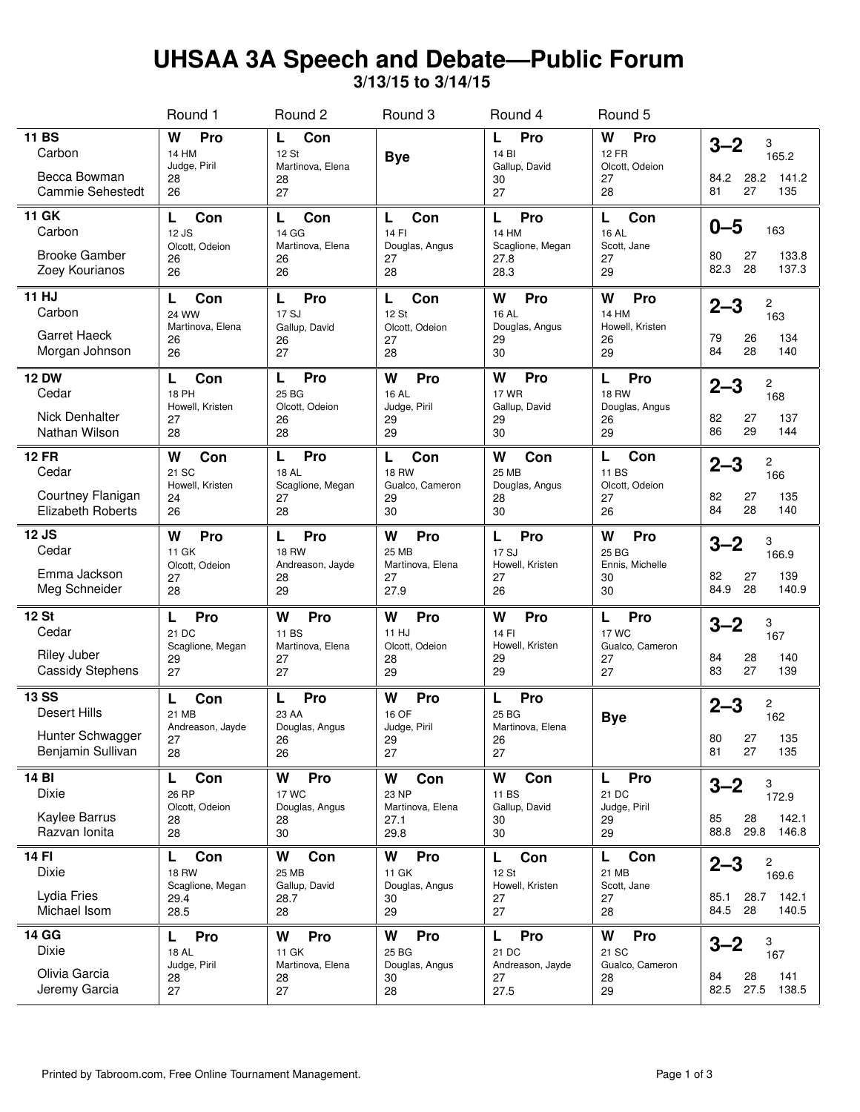## **UHSAA 3A Speech and Debate—Public Forum**

**3/13/15 to 3/14/15**

|                                                                              | Round 1                                                      | Round <sub>2</sub>                                       | Round 3                                                 | Round 4                                                | Round 5                                                |                                                                     |
|------------------------------------------------------------------------------|--------------------------------------------------------------|----------------------------------------------------------|---------------------------------------------------------|--------------------------------------------------------|--------------------------------------------------------|---------------------------------------------------------------------|
| <b>11 BS</b><br>Carbon<br>Becca Bowman<br>Cammie Sehestedt                   | W<br>Pro<br><b>14 HM</b><br>Judge, Piril<br>28<br>26         | Con<br>L<br>12 St<br>Martinova, Elena<br>28<br>27        | <b>Bye</b>                                              | Pro<br>L<br>14 BI<br>Gallup, David<br>30<br>27         | Pro<br>W<br><b>12 FR</b><br>Olcott, Odeion<br>27<br>28 | $3 - 2$<br>3<br>165.2<br>28.2<br>141.2<br>84.2<br>135<br>81<br>27   |
| <b>11 GK</b><br>Carbon<br><b>Brooke Gamber</b><br>Zoey Kourianos             | Con<br>L<br>12 JS<br>Olcott, Odeion<br>26<br>26              | Con<br>L<br>14 GG<br>Martinova, Elena<br>26<br>26        | Con<br>L<br>14 FI<br>Douglas, Angus<br>27<br>28         | Pro<br>L<br>14 HM<br>Scaglione, Megan<br>27.8<br>28.3  | Con<br>L<br><b>16 AL</b><br>Scott, Jane<br>27<br>29    | $0 - 5$<br>163<br>133.8<br>80<br>27<br>28<br>82.3<br>137.3          |
| 11 HJ<br>Carbon<br><b>Garret Haeck</b><br>Morgan Johnson                     | Con<br>L<br><b>24 WW</b><br>Martinova, Elena<br>26<br>26     | Pro<br>L<br>17 SJ<br>Gallup, David<br>26<br>27           | Con<br>L<br>12 St<br>Olcott, Odeion<br>27<br>28         | W<br>Pro<br>16 AL<br>Douglas, Angus<br>29<br>30        | W<br>Pro<br>14 HM<br>Howell, Kristen<br>26<br>29       | $2 - 3$<br>2<br>163<br>134<br>79<br>26<br>28<br>84<br>140           |
| <b>12 DW</b><br>Cedar<br><b>Nick Denhalter</b><br>Nathan Wilson              | Con<br>L<br><b>18 PH</b><br>Howell, Kristen<br>27<br>28      | Pro<br>L<br>25 BG<br>Olcott, Odeion<br>26<br>28          | W<br>Pro<br><b>16 AL</b><br>Judge, Piril<br>29<br>29    | W<br>Pro<br><b>17 WR</b><br>Gallup, David<br>29<br>30  | Pro<br>L<br><b>18 RW</b><br>Douglas, Angus<br>26<br>29 | $2 - 3$<br>2<br>168<br>137<br>82<br>27<br>86<br>29<br>144           |
| <b>12 FR</b><br>Cedar<br>Courtney Flanigan<br>Elizabeth Roberts              | W<br>Con<br>21 SC<br>Howell, Kristen<br>24<br>26             | Pro<br>L<br><b>18 AL</b><br>Scaglione, Megan<br>27<br>28 | Con<br>L<br><b>18 RW</b><br>Gualco, Cameron<br>29<br>30 | W<br>Con<br><b>25 MB</b><br>Douglas, Angus<br>28<br>30 | Con<br>L<br>11 BS<br>Olcott, Odeion<br>27<br>26        | $2 - 3$<br>2<br>166<br>82<br>27<br>135<br>84<br>28<br>140           |
| 12 JS<br>Cedar<br>Emma Jackson<br>Meg Schneider                              | W<br>Pro<br>11 GK<br>Olcott, Odeion<br>27<br>28              | Pro<br>L<br><b>18 RW</b><br>Andreason, Jayde<br>28<br>29 | Pro<br>W<br>25 MB<br>Martinova, Elena<br>27<br>27.9     | Pro<br>L<br>17 SJ<br>Howell, Kristen<br>27<br>26       | W<br>Pro<br>25 BG<br>Ennis, Michelle<br>30<br>30       | $3 - 2$<br>3<br>166.9<br>139<br>82<br>27<br>84.9<br>28<br>140.9     |
| <b>12 St</b><br>Cedar<br><b>Riley Juber</b><br><b>Cassidy Stephens</b>       | Pro<br>L<br>21 DC<br>Scaglione, Megan<br>29<br>27            | W<br>Pro<br>11 BS<br>Martinova, Elena<br>27<br>27        | W<br>Pro<br>11 HJ<br>Olcott, Odeion<br>28<br>29         | W<br>Pro<br>14 FI<br>Howell, Kristen<br>29<br>29       | Pro<br>L<br>17 WC<br>Gualco, Cameron<br>27<br>27       | $3 - 2$<br>3<br>167<br>84<br>28<br>140<br>83<br>27<br>139           |
| <b>13 SS</b><br><b>Desert Hills</b><br>Hunter Schwagger<br>Benjamin Sullivan | Con<br>L<br>21 MB<br>Andreason, Jayde<br>27<br>28            | Pro<br>L<br>23 AA<br>Douglas, Angus<br>26<br>26          | Pro<br>W<br>16 OF<br>Judge, Piril<br>29<br>27           | Pro<br>L<br>25 BG<br>Martinova, Elena<br>26<br>27      | <b>Bye</b>                                             | $2 - 3$<br>2<br>162<br>80<br>27<br>135<br>81<br>27<br>135           |
| 14 BI<br>Dixie<br>Kaylee Barrus<br>Razvan Ionita                             | L<br>Con<br>26 RP<br>Olcott, Odeion<br>28<br>28              | W<br>Pro<br><b>17 WC</b><br>Douglas, Angus<br>28<br>30   | W<br>Con<br>23 NP<br>Martinova, Elena<br>27.1<br>29.8   | W<br>Con<br>11 BS<br>Gallup, David<br>30<br>30         | Pro<br>L<br>21 DC<br>Judge, Piril<br>29<br>29          | $3 - 2$<br>3<br>172.9<br>142.1<br>85<br>28<br>29.8<br>88.8<br>146.8 |
| 14 FI<br>Dixie<br>Lydia Fries<br>Michael Isom                                | Con<br>L<br><b>18 RW</b><br>Scaglione, Megan<br>29.4<br>28.5 | Con<br>W<br>25 MB<br>Gallup, David<br>28.7<br>28         | Pro<br>W<br>11 GK<br>Douglas, Angus<br>30<br>29         | Con<br>L<br>12 St<br>Howell, Kristen<br>27<br>27       | Con<br>L<br>21 MB<br>Scott, Jane<br>27<br>28           | 2<br>$2 - 3$<br>169.6<br>142.1<br>85.1<br>28.7<br>84.5 28<br>140.5  |
| 14 GG<br>Dixie<br>Olivia Garcia<br>Jeremy Garcia                             | Pro<br>L.<br><b>18 AL</b><br>Judge, Piril<br>28<br>27        | W<br>Pro<br>11 GK<br>Martinova, Elena<br>28<br>27        | W<br>Pro<br>25 BG<br>Douglas, Angus<br>30<br>28         | L<br>Pro<br>21 DC<br>Andreason, Jayde<br>27<br>27.5    | W<br>Pro<br>21 SC<br>Gualco, Cameron<br>28<br>29       | $3 - 2$<br>3<br>167<br>141<br>84<br>28<br>82.5<br>27.5<br>138.5     |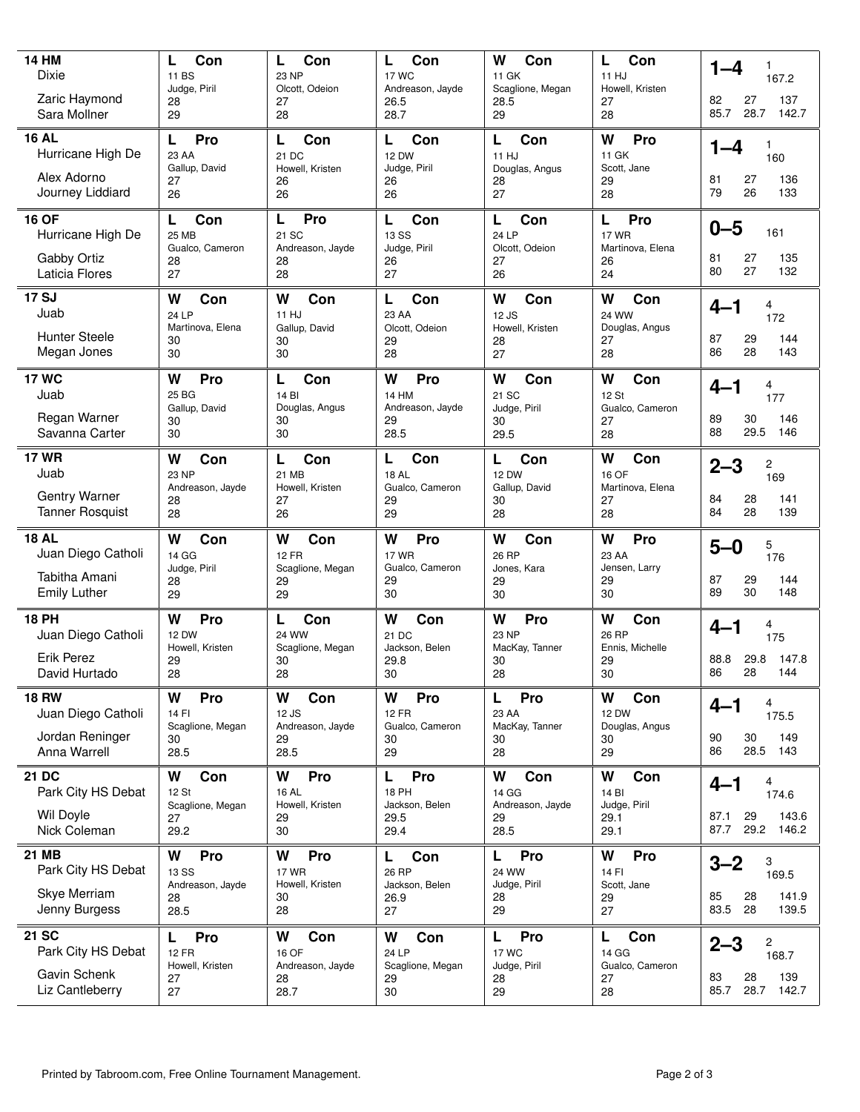| <b>14 HM</b><br>Dixie<br>Zaric Haymond<br>Sara Mollner                     | Con<br>L<br>11 BS<br>Judge, Piril<br>28<br>29              | Con<br>L<br>23 NP<br>Olcott, Odeion<br>27<br>28          | Con<br>L<br><b>17 WC</b><br>Andreason, Jayde<br>26.5<br>28.7 | W<br>Con<br>11 GK<br>Scaglione, Megan<br>28.5<br>29   | Con<br>L<br>11 HJ<br>Howell, Kristen<br>27<br>28         | $1 - 4$<br>167.2<br>137<br>82<br>27<br>85.7<br>28.7<br>142.7          |
|----------------------------------------------------------------------------|------------------------------------------------------------|----------------------------------------------------------|--------------------------------------------------------------|-------------------------------------------------------|----------------------------------------------------------|-----------------------------------------------------------------------|
| <b>16 AL</b><br>Hurricane High De<br>Alex Adorno<br>Journey Liddiard       | Pro<br>L<br>23 AA<br>Gallup, David<br>27<br>26             | Con<br>L<br>21 DC<br>Howell, Kristen<br>26<br>26         | L<br>Con<br><b>12 DW</b><br>Judge, Piril<br>26<br>26         | L<br>Con<br>11 HJ<br>Douglas, Angus<br>28<br>27       | W<br>Pro<br>11 GK<br>Scott, Jane<br>29<br>28             | 1–4<br>1<br>160<br>136<br>81<br>27<br>79<br>26<br>133                 |
| <b>16 OF</b><br>Hurricane High De<br>Gabby Ortiz<br>Laticia Flores         | Con<br>L<br>25 MB<br>Gualco, Cameron<br>28<br>27           | Pro<br>L<br>21 SC<br>Andreason, Jayde<br>28<br>28        | L<br>Con<br><b>13 SS</b><br>Judge, Piril<br>26<br>27         | L<br>Con<br>24 LP<br>Olcott, Odeion<br>27<br>26       | Pro<br>L<br><b>17 WR</b><br>Martinova, Elena<br>26<br>24 | $0 - 5$<br>161<br>135<br>81<br>27<br>27<br>80<br>132                  |
| <b>17 SJ</b><br>Juab<br><b>Hunter Steele</b><br>Megan Jones                | W<br>Con<br>24 LP<br>Martinova, Elena<br>30<br>30          | W<br>Con<br>11 HJ<br>Gallup, David<br>30<br>30           | L<br>Con<br>23 AA<br>Olcott, Odeion<br>29<br>28              | W<br>Con<br>12 JS<br>Howell, Kristen<br>28<br>27      | W<br>Con<br><b>24 WW</b><br>Douglas, Angus<br>27<br>28   | $4 - 1$<br>4<br>172<br>87<br>29<br>144<br>28<br>86<br>143             |
| <b>17 WC</b><br>Juab<br>Regan Warner<br>Savanna Carter                     | W<br>Pro<br>25 BG<br>Gallup, David<br>30<br>30             | Con<br>L<br>14 BI<br>Douglas, Angus<br>30<br>30          | W<br>Pro<br>14 HM<br>Andreason, Jayde<br>29<br>28.5          | W<br>Con<br>21 SC<br>Judge, Piril<br>30<br>29.5       | W<br>Con<br>12 St<br>Gualco, Cameron<br>27<br>28         | $4 - 1$<br>4<br>177<br>89<br>30<br>146<br>29.5<br>88<br>146           |
| <b>17 WR</b><br>Juab<br>Gentry Warner<br><b>Tanner Rosquist</b>            | W<br>Con<br>23 NP<br>Andreason, Jayde<br>28<br>28          | L<br>Con<br>21 MB<br>Howell, Kristen<br>27<br>26         | L<br>Con<br>18 AL<br>Gualco, Cameron<br>29<br>29             | L<br>Con<br><b>12 DW</b><br>Gallup, David<br>30<br>28 | W<br>Con<br>16 OF<br>Martinova, Elena<br>27<br>28        | $2 - 3$<br>2<br>169<br>84<br>28<br>141<br>84<br>28<br>139             |
|                                                                            |                                                            |                                                          |                                                              |                                                       |                                                          |                                                                       |
| <b>18 AL</b><br>Juan Diego Catholi<br>Tabitha Amani<br><b>Emily Luther</b> | W<br>Con<br>14 GG<br>Judge, Piril<br>28<br>29              | W<br>Con<br><b>12 FR</b><br>Scaglione, Megan<br>29<br>29 | W<br>Pro<br><b>17 WR</b><br>Gualco, Cameron<br>29<br>30      | W<br>Con<br>26 RP<br>Jones, Kara<br>29<br>30          | W<br>Pro<br>23 AA<br>Jensen, Larry<br>29<br>30           | 5<br>$5-0$<br>176<br>87<br>144<br>29<br>30<br>89<br>148               |
| <b>18 PH</b><br>Juan Diego Catholi<br>Erik Perez<br>David Hurtado          | W<br>Pro<br><b>12 DW</b><br>Howell, Kristen<br>29<br>28    | L<br>Con<br><b>24 WW</b><br>Scaglione, Megan<br>30<br>28 | W<br>Con<br>21 DC<br>Jackson, Belen<br>29.8<br>30            | W<br>Pro<br>23 NP<br>MacKay, Tanner<br>30<br>28       | W<br>Con<br>26 RP<br>Ennis, Michelle<br>29<br>30         | $4 - 1$<br>4<br>175<br>147.8<br>88.8<br>29.8<br>86<br>28<br>144       |
| <b>18 RW</b><br>Juan Diego Catholi<br>Jordan Reninger<br>Anna Warrell      | W<br>Pro<br>14 FI<br>Scaglione, Megan<br>30<br>28.5        | Con<br>W<br>12 JS<br>Andreason, Jayde<br>29<br>28.5      | Pro<br>W<br><b>12 FR</b><br>Gualco, Cameron<br>30<br>29      | Pro<br>L<br>23 AA<br>MacKay, Tanner<br>30<br>28       | W<br>Con<br><b>12 DW</b><br>Douglas, Angus<br>30<br>29   | $4 - 1$<br>4<br>175.5<br>90<br>30<br>149<br>28.5<br>143<br>86         |
| <b>21 DC</b><br>Park City HS Debat<br>Wil Doyle<br>Nick Coleman            | W<br>Con<br>12 St<br>Scaglione, Megan<br>27<br>29.2        | W<br>Pro<br><b>16 AL</b><br>Howell, Kristen<br>29<br>30  | Pro<br>L<br>18 PH<br>Jackson, Belen<br>29.5<br>29.4          | W<br>Con<br>14 GG<br>Andreason, Jayde<br>29<br>28.5   | W<br>Con<br>14 BI<br>Judge, Piril<br>29.1<br>29.1        | $4 - 1$<br>4<br>174.6<br>87.1<br>29<br>143.6<br>29.2<br>87.7<br>146.2 |
| 21 MB<br>Park City HS Debat<br>Skye Merriam<br>Jenny Burgess               | W<br>Pro<br><b>13 SS</b><br>Andreason, Jayde<br>28<br>28.5 | Pro<br>W<br><b>17 WR</b><br>Howell, Kristen<br>30<br>28  | L<br>Con<br>26 RP<br>Jackson, Belen<br>26.9<br>27            | L<br>Pro<br>24 WW<br>Judge, Piril<br>28<br>29         | W<br>Pro<br>14 FI<br>Scott, Jane<br>29<br>27             | $3 - 2$<br>3<br>169.5<br>141.9<br>85<br>28<br>83.5<br>28<br>139.5     |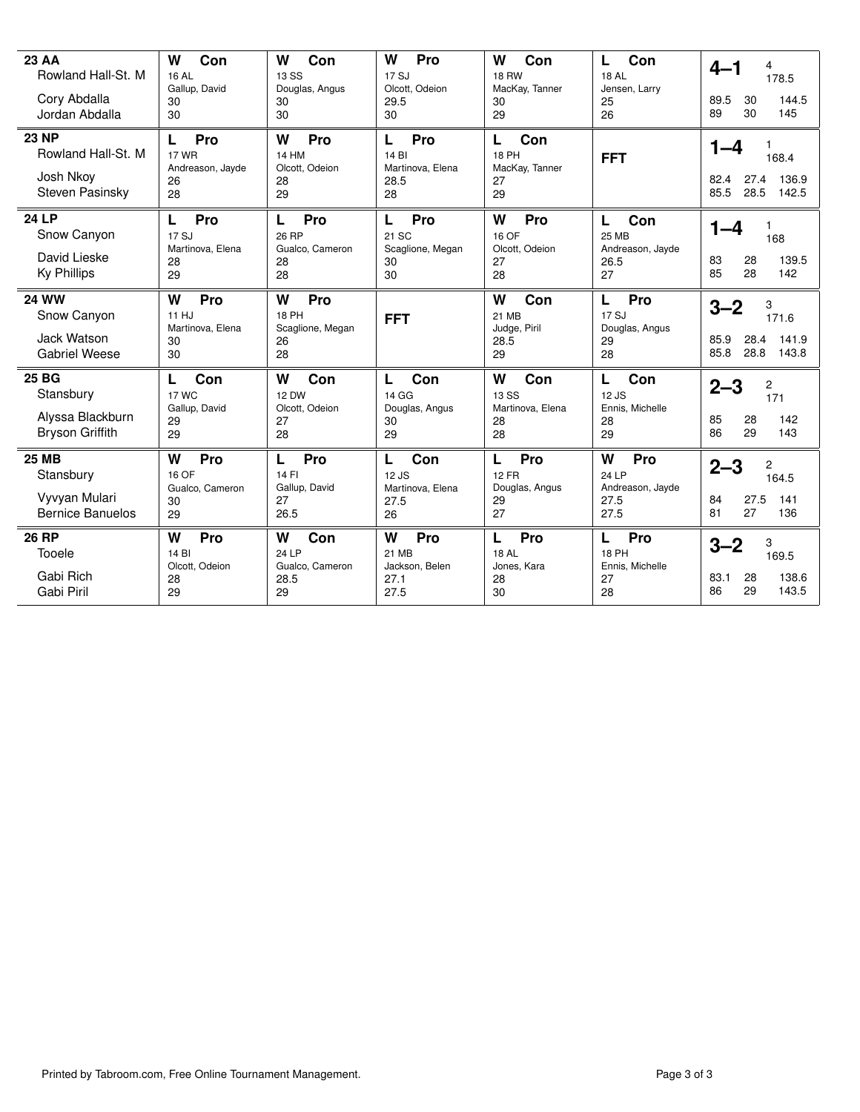| <b>23 AA</b><br>Rowland Hall-St. M<br>Cory Abdalla<br>Jordan Abdalla  | W<br>Con<br><b>16 AL</b><br>Gallup, David<br>30<br>30    | W<br>Con<br>13 SS<br>Douglas, Angus<br>30<br>30          | W<br>Pro<br>17 SJ<br>Olcott, Odeion<br>29.5<br>30   | W<br>Con<br><b>18 RW</b><br>MacKay, Tanner<br>30<br>29 | Con<br>L<br><b>18 AL</b><br>Jensen, Larry<br>25<br>26      | $4 - 1$<br>4<br>178.5<br>144.5<br>89.5<br>30<br>30<br>89<br>145          |
|-----------------------------------------------------------------------|----------------------------------------------------------|----------------------------------------------------------|-----------------------------------------------------|--------------------------------------------------------|------------------------------------------------------------|--------------------------------------------------------------------------|
| <b>23 NP</b><br>Rowland Hall-St. M<br>Josh Nkoy<br>Steven Pasinsky    | L<br>Pro<br><b>17 WR</b><br>Andreason, Jayde<br>26<br>28 | W<br>Pro<br><b>14 HM</b><br>Olcott, Odeion<br>28<br>29   | L<br>Pro<br>14 BI<br>Martinova, Elena<br>28.5<br>28 | L<br>Con<br><b>18 PH</b><br>MacKay, Tanner<br>27<br>29 | <b>FFT</b>                                                 | $1 - 4$<br>1.<br>168.4<br>27.4<br>82.4<br>136.9<br>85.5<br>28.5<br>142.5 |
| <b>24 LP</b><br>Snow Canyon<br>David Lieske<br><b>Ky Phillips</b>     | Pro<br>L<br>17 SJ<br>Martinova, Elena<br>28<br>29        | Pro<br>L<br>26 RP<br>Gualco, Cameron<br>28<br>28         | Pro<br>L<br>21 SC<br>Scaglione, Megan<br>30<br>30   | W<br>Pro<br>16 OF<br>Olcott, Odeion<br>27<br>28        | L<br>Con<br><b>25 MB</b><br>Andreason, Jayde<br>26.5<br>27 | $1 - 4$<br>1<br>168<br>139.5<br>83<br>28<br>85<br>28<br>142              |
| <b>24 WW</b><br>Snow Canyon<br>Jack Watson<br><b>Gabriel Weese</b>    | W<br>Pro<br>11 HJ<br>Martinova, Elena<br>30<br>30        | Pro<br>W<br><b>18 PH</b><br>Scaglione, Megan<br>26<br>28 | <b>FFT</b>                                          | Con<br>W<br>21 MB<br>Judge, Piril<br>28.5<br>29        | Pro<br>L<br>17 SJ<br>Douglas, Angus<br>29<br>28            | $3 - 2$<br>3<br>171.6<br>141.9<br>85.9<br>28.4<br>28.8<br>85.8<br>143.8  |
| 25 BG<br>Stansbury<br>Alyssa Blackburn<br><b>Bryson Griffith</b>      | Con<br>L<br><b>17 WC</b><br>Gallup, David<br>29<br>29    | W<br>Con<br><b>12 DW</b><br>Olcott, Odeion<br>27<br>28   | Con<br>L<br>14 GG<br>Douglas, Angus<br>30<br>29     | W<br>Con<br>13 SS<br>Martinova, Elena<br>28<br>28      | L<br>Con<br>12 JS<br>Ennis, Michelle<br>28<br>29           | $2 - 3$<br>2<br>171<br>85<br>28<br>142<br>29<br>143<br>86                |
| <b>25 MB</b><br>Stansbury<br>Vyvyan Mulari<br><b>Bernice Banuelos</b> | W<br>Pro<br>16 OF<br>Gualco, Cameron<br>30<br>29         | L<br>Pro<br>14 FI<br>Gallup, David<br>27<br>26.5         | Con<br>L<br>12 JS<br>Martinova, Elena<br>27.5<br>26 | L<br>Pro<br><b>12 FR</b><br>Douglas, Angus<br>29<br>27 | W<br>Pro<br>24 LP<br>Andreason, Jayde<br>27.5<br>27.5      | $2 - 3$<br>2<br>164.5<br>27.5<br>141<br>84<br>81<br>136<br>27            |
| <b>26 RP</b><br>Tooele<br>Gabi Rich<br>Gabi Piril                     | W<br>Pro<br>14 BI<br>Olcott, Odeion<br>28<br>29          | Con<br>W<br>24 LP<br>Gualco, Cameron<br>28.5<br>29       | W<br>Pro<br>21 MB<br>Jackson, Belen<br>27.1<br>27.5 | L<br>Pro<br><b>18 AL</b><br>Jones, Kara<br>28<br>30    | L<br>Pro<br><b>18 PH</b><br>Ennis, Michelle<br>27<br>28    | 3<br>$3 - 2$<br>169.5<br>138.6<br>83.1<br>28<br>29<br>143.5<br>86        |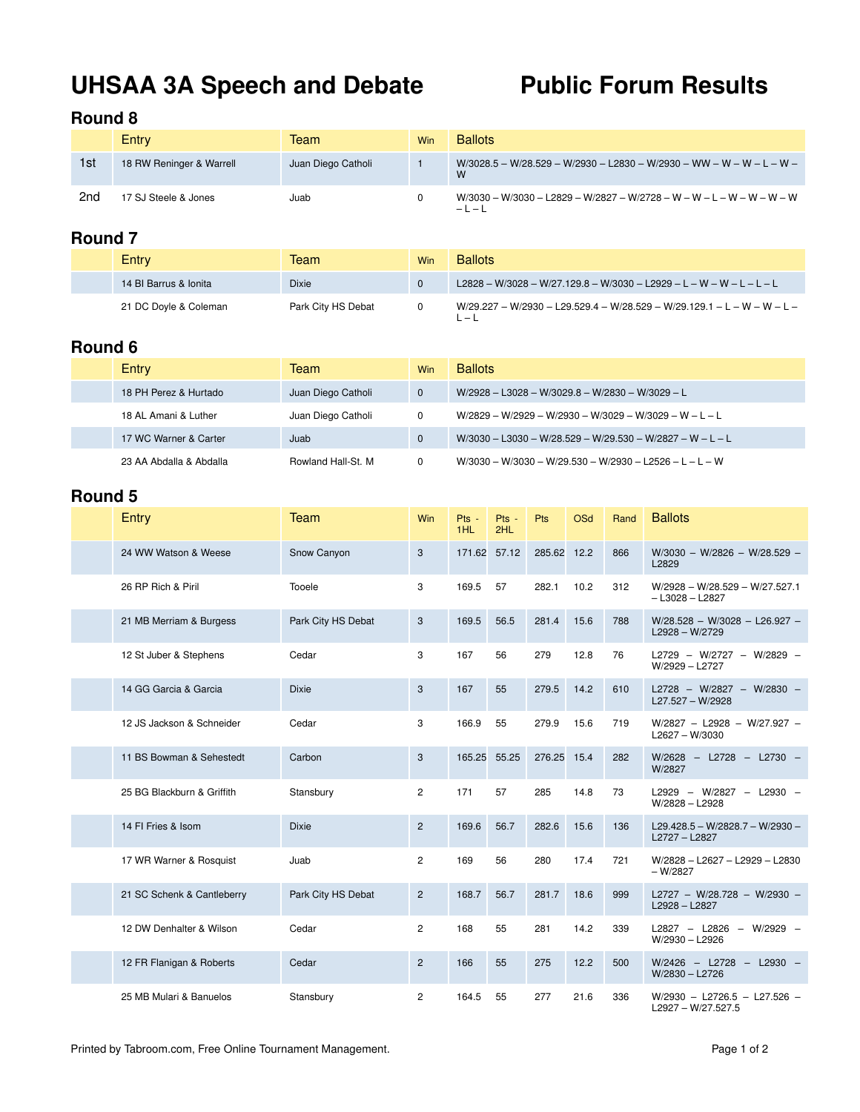# UHSAA 3A Speech and Debate Public Forum Results

### **Round 8**

|     | Entry                    | Team               | Win | <b>Ballots</b>                                                                   |
|-----|--------------------------|--------------------|-----|----------------------------------------------------------------------------------|
| 1st | 18 RW Reninger & Warrell | Juan Diego Catholi |     | W/3028.5 - W/28.529 - W/2930 - L2830 - W/2930 - WW - W - W - L - W -<br>W        |
| 2nd | 17 SJ Steele & Jones     | Juab               |     | W/3030 - W/3030 - L2829 - W/2827 - W/2728 - W - W - L - W - W - W - W<br>$-1 -1$ |

### **Round 7**

| Entry                 | Team               | Win      | <b>Ballots</b>                                                                     |
|-----------------------|--------------------|----------|------------------------------------------------------------------------------------|
| 14 BI Barrus & Ionita | <b>Dixie</b>       | $\bf{0}$ | $L2828 - W/3028 - W/27.129.8 - W/3030 - L2929 - L - W - W - L - L - L$             |
| 21 DC Doyle & Coleman | Park City HS Debat | 0        | $W/29.227 - W/2930 - L29.529.4 - W/28.529 - W/29.129.1 - L - W - W - L -$<br>' — L |

### **Round 6**

| Entry                   | Team               | <b>Win</b> | <b>Ballots</b>                                              |
|-------------------------|--------------------|------------|-------------------------------------------------------------|
| 18 PH Perez & Hurtado   | Juan Diego Catholi | $\Omega$   | $W/2928 - L3028 - W/3029.8 - W/2830 - W/3029 - L$           |
| 18 AL Amani & Luther    | Juan Diego Catholi | 0          | $W/2829 - W/2929 - W/2930 - W/3029 - W/3029 - W - L - L$    |
| 17 WC Warner & Carter   | Juab               |            | $W/3030 - L3030 - W/28.529 - W/29.530 - W/2827 - W - L - L$ |
| 23 AA Abdalla & Abdalla | Rowland Hall-St. M |            | $W/3030 - W/3030 - W/29.530 - W/2930 - L2526 - L - L - W$   |

| Entry                      | Team               | Win            | Pts -<br>1HL | Pts -<br>2HL | Pts         | OSd  | Rand | <b>Ballots</b>                                          |
|----------------------------|--------------------|----------------|--------------|--------------|-------------|------|------|---------------------------------------------------------|
| 24 WW Watson & Weese       | Snow Canyon        | 3              | 171.62       | 57.12        | 285.62 12.2 |      | 866  | $W/3030 - W/2826 - W/28.529 -$<br>L2829                 |
| 26 RP Rich & Piril         | Tooele             | 3              | 169.5        | 57           | 282.1       | 10.2 | 312  | $W/2928 - W/28.529 - W/27.527.1$<br>$-$ L3028 $-$ L2827 |
| 21 MB Merriam & Burgess    | Park City HS Debat | 3              | 169.5        | 56.5         | 281.4       | 15.6 | 788  | W/28.528 - W/3028 - L26.927 -<br>$L2928 - W/2729$       |
| 12 St Juber & Stephens     | Cedar              | 3              | 167          | 56           | 279         | 12.8 | 76   | L2729 - W/2727 - W/2829 -<br>W/2929 - L2727             |
| 14 GG Garcia & Garcia      | <b>Dixie</b>       | 3              | 167          | 55           | 279.5       | 14.2 | 610  | L2728 - W/2827 - W/2830 -<br>$L27.527 - W/2928$         |
| 12 JS Jackson & Schneider  | Cedar              | 3              | 166.9        | 55           | 279.9       | 15.6 | 719  | W/2827 - L2928 - W/27.927 -<br>$L2627 - W/3030$         |
| 11 BS Bowman & Sehestedt   | Carbon             | 3              | 165.25       | 55.25        | 276.25 15.4 |      | 282  | W/2628 - L2728 - L2730 -<br>W/2827                      |
| 25 BG Blackburn & Griffith | Stansbury          | $\overline{c}$ | 171          | 57           | 285         | 14.8 | 73   | L2929 - W/2827 - L2930 -<br>W/2828 - L2928              |
| 14 FI Fries & Isom         | <b>Dixie</b>       | $\overline{c}$ | 169.6        | 56.7         | 282.6       | 15.6 | 136  | L29.428.5 - W/2828.7 - W/2930 -<br>L2727 - L2827        |
| 17 WR Warner & Rosquist    | Juab               | $\overline{c}$ | 169          | 56           | 280         | 17.4 | 721  | W/2828 - L2627 - L2929 - L2830<br>$-W/2827$             |
| 21 SC Schenk & Cantleberry | Park City HS Debat | $\overline{c}$ | 168.7        | 56.7         | 281.7       | 18.6 | 999  | L2727 - W/28.728 - W/2930 -<br>L2928-L2827              |
| 12 DW Denhalter & Wilson   | Cedar              | $\overline{c}$ | 168          | 55           | 281         | 14.2 | 339  | L2827 - L2826 - W/2929 -<br>W/2930 - L2926              |
| 12 FR Flanigan & Roberts   | Cedar              | $\overline{c}$ | 166          | 55           | 275         | 12.2 | 500  | W/2426 - L2728 - L2930 -<br>W/2830 - L2726              |
| 25 MB Mulari & Banuelos    | Stansbury          | $\overline{c}$ | 164.5        | 55           | 277         | 21.6 | 336  | $W/2930 - L2726.5 - L27.526 -$<br>L2927 - W/27.527.5    |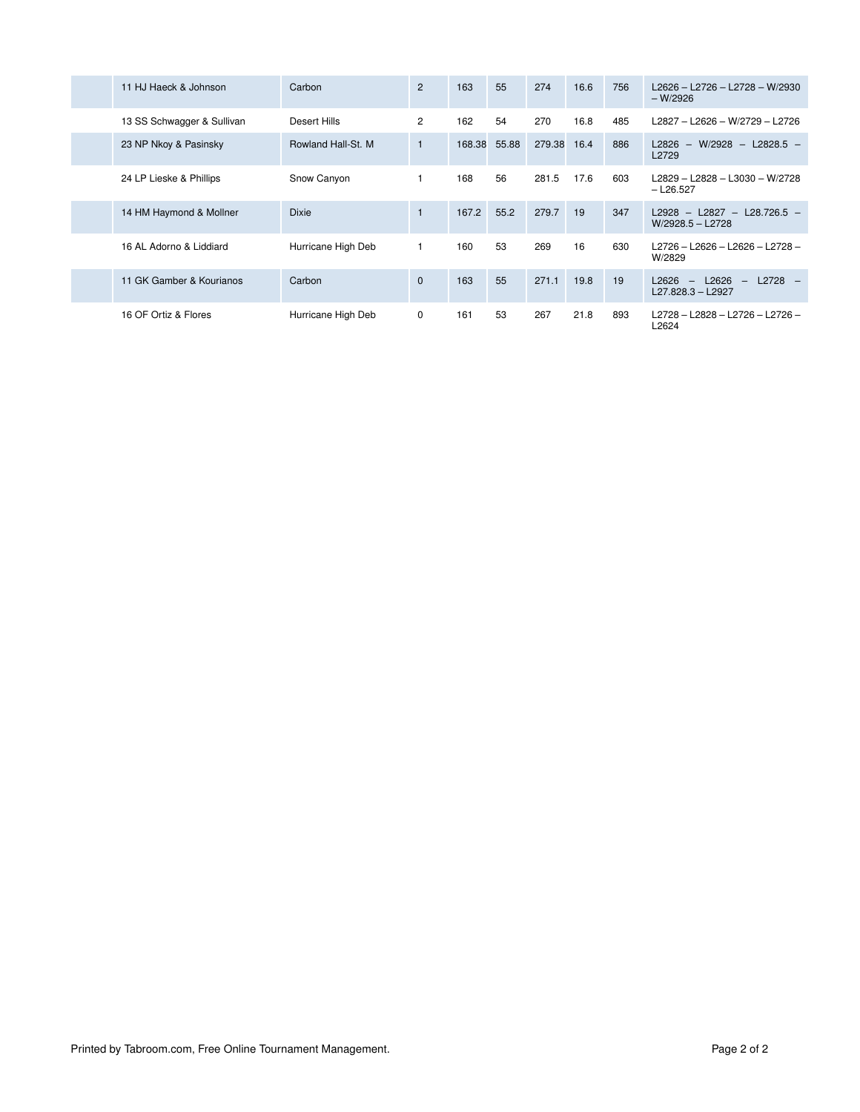| 11 HJ Haeck & Johnson      | Carbon              | $\overline{2}$ | 163    | 55    | 274    | 16.6 | 756 | L2626 - L2726 - L2728 - W/2930<br>$-W/2926$                                                     |
|----------------------------|---------------------|----------------|--------|-------|--------|------|-----|-------------------------------------------------------------------------------------------------|
| 13 SS Schwagger & Sullivan | Desert Hills        | $\overline{2}$ | 162    | 54    | 270    | 16.8 | 485 | L2827 - L2626 - W/2729 - L2726                                                                  |
| 23 NP Nkoy & Pasinsky      | Rowland Hall-St. M. | $\mathbf{1}$   | 168.38 | 55.88 | 279.38 | 16.4 | 886 | $-$ W/2928 $-$ L2828.5 $-$<br>L2826<br>L2729                                                    |
| 24 LP Lieske & Phillips    | Snow Canyon         |                | 168    | 56    | 281.5  | 17.6 | 603 | L2829 - L2828 - L3030 - W/2728<br>$-$ L26.527                                                   |
| 14 HM Haymond & Mollner    | <b>Dixie</b>        | $\mathbf{1}$   | 167.2  | 55.2  | 279.7  | 19   | 347 | L2928 - L2827 - L28.726.5 -<br>W/2928.5 - L2728                                                 |
| 16 AL Adorno & Liddiard    | Hurricane High Deb  |                | 160    | 53    | 269    | 16   | 630 | L2726 - L2626 - L2626 - L2728 -<br>W/2829                                                       |
| 11 GK Gamber & Kourianos   | Carbon              | $\Omega$       | 163    | 55    | 271.1  | 19.8 | 19  | L2626<br>$L2728 -$<br>L2626<br>$\equiv$<br>$\hspace{0.1mm}-\hspace{0.1mm}$<br>L27.828.3 - L2927 |
| 16 OF Ortiz & Flores       | Hurricane High Deb  | 0              | 161    | 53    | 267    | 21.8 | 893 | L2728 - L2828 - L2726 - L2726 -<br>L2624                                                        |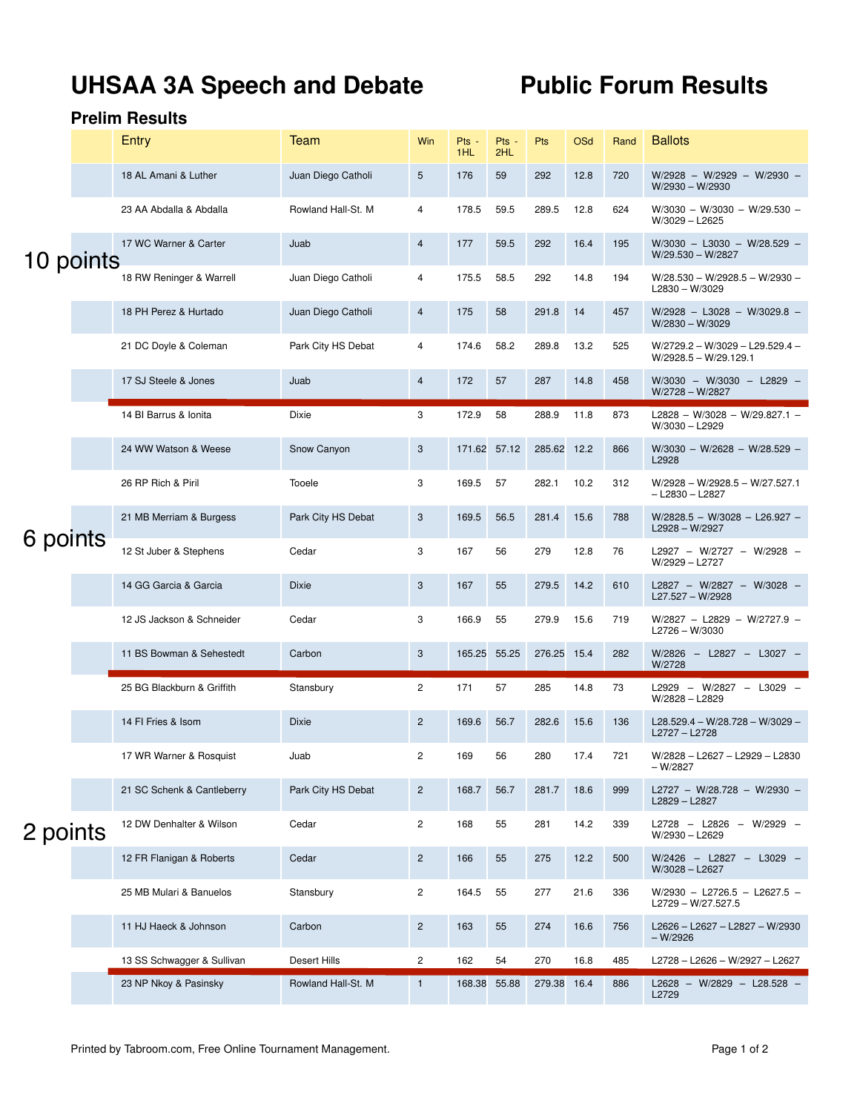# UHSAA 3A Speech and Debate Public Forum Results

|           | Entry                      | <b>Team</b>        | Win            | Pts -<br>1HL | Pts -<br>2HL | Pts         | <b>OSd</b> | Rand | <b>Ballots</b>                                             |
|-----------|----------------------------|--------------------|----------------|--------------|--------------|-------------|------------|------|------------------------------------------------------------|
| 10 points | 18 AL Amani & Luther       | Juan Diego Catholi | 5              | 176          | 59           | 292         | 12.8       | 720  | $W/2928 - W/2929 - W/2930 -$<br>W/2930 - W/2930            |
|           | 23 AA Abdalla & Abdalla    | Rowland Hall-St. M | 4              | 178.5        | 59.5         | 289.5       | 12.8       | 624  | $W/3030 - W/3030 - W/29.530 -$<br>W/3029 - L2625           |
|           | 17 WC Warner & Carter      | Juab               | 4              | 177          | 59.5         | 292         | 16.4       | 195  | $W/3030 - L3030 - W/28.529 -$<br>$W/29.530 - W/2827$       |
|           | 18 RW Reninger & Warrell   | Juan Diego Catholi | 4              | 175.5        | 58.5         | 292         | 14.8       | 194  | $W/28.530 - W/2928.5 - W/2930 -$<br>$L2830 - W/3029$       |
|           | 18 PH Perez & Hurtado      | Juan Diego Catholi | 4              | 175          | 58           | 291.8       | 14         | 457  | W/2928 - L3028 - W/3029.8 -<br>$W/2830 - W/3029$           |
|           | 21 DC Doyle & Coleman      | Park City HS Debat | 4              | 174.6        | 58.2         | 289.8       | 13.2       | 525  | W/2729.2 - W/3029 - L29.529.4 -<br>$W/2928.5 - W/29.129.1$ |
|           | 17 SJ Steele & Jones       | Juab               | 4              | 172          | 57           | 287         | 14.8       | 458  | W/3030 - W/3030 - L2829 -<br>W/2728 - W/2827               |
|           | 14 BI Barrus & Ionita      | Dixie              | 3              | 172.9        | 58           | 288.9       | 11.8       | 873  | L2828 - W/3028 - W/29.827.1 -<br>W/3030 - L2929            |
|           | 24 WW Watson & Weese       | Snow Canyon        | 3              | 171.62       | 57.12        | 285.62 12.2 |            | 866  | $W/3030 - W/2628 - W/28.529 -$<br>L2928                    |
|           | 26 RP Rich & Piril         | Tooele             | 3              | 169.5        | 57           | 282.1       | 10.2       | 312  | $W/2928 - W/2928.5 - W/27.527.1$<br>$-$ L2830 $-$ L2827    |
|           | 21 MB Merriam & Burgess    | Park City HS Debat | 3              | 169.5        | 56.5         | 281.4       | 15.6       | 788  | $W/2828.5 - W/3028 - L26.927 -$<br>L2928 - W/2927          |
| 6 points  | 12 St Juber & Stephens     | Cedar              | 3              | 167          | 56           | 279         | 12.8       | 76   | L2927 - W/2727 - W/2928 -<br>W/2929 - L2727                |
|           | 14 GG Garcia & Garcia      | <b>Dixie</b>       | 3              | 167          | 55           | 279.5       | 14.2       | 610  | L2827 - W/2827 - W/3028 -<br>L27.527 - W/2928              |
|           | 12 JS Jackson & Schneider  | Cedar              | 3              | 166.9        | 55           | 279.9       | 15.6       | 719  | W/2827 - L2829 - W/2727.9 -<br>L2726 - W/3030              |
|           | 11 BS Bowman & Sehestedt   | Carbon             | 3              | 165.25       | 55.25        | 276.25 15.4 |            | 282  | W/2826 - L2827 - L3027 -<br>W/2728                         |
|           | 25 BG Blackburn & Griffith | Stansbury          | $\overline{c}$ | 171          | 57           | 285         | 14.8       | 73   | L2929 - W/2827 - L3029 -<br>W/2828 - L2829                 |
|           | 14 FI Fries & Isom         | <b>Dixie</b>       | $\overline{c}$ | 169.6        | 56.7         | 282.6       | 15.6       | 136  | L28.529.4 - W/28.728 - W/3029 -<br>L2727 - L2728           |
|           | 17 WR Warner & Rosquist    | Juab               | 2              | 169          | 56           | 280         | 17.4       | 721  | W/2828 - L2627 - L2929 - L2830<br>$-W/2827$                |
|           | 21 SC Schenk & Cantleberry | Park City HS Debat | $\overline{c}$ | 168.7        | 56.7         | 281.7       | 18.6       | 999  | L2727 - W/28.728 - W/2930 -<br>L2829 - L2827               |
| 2 points  | 12 DW Denhalter & Wilson   | Cedar              | $\overline{c}$ | 168          | 55           | 281         | 14.2       | 339  | L2728 - L2826 - W/2929 -<br>W/2930 - L2629                 |
|           | 12 FR Flanigan & Roberts   | Cedar              | $\overline{c}$ | 166          | 55           | 275         | 12.2       | 500  | W/2426 - L2827 - L3029 -<br>W/3028 - L2627                 |
|           | 25 MB Mulari & Banuelos    | Stansbury          | $\overline{c}$ | 164.5        | 55           | 277         | 21.6       | 336  | W/2930 - L2726.5 - L2627.5 -<br>L2729 - W/27.527.5         |
|           | 11 HJ Haeck & Johnson      | Carbon             | $\overline{c}$ | 163          | 55           | 274         | 16.6       | 756  | L2626 - L2627 - L2827 - W/2930<br>$-W/2926$                |
|           | 13 SS Schwagger & Sullivan | Desert Hills       | 2              | 162          | 54           | 270         | 16.8       | 485  | L2728 - L2626 - W/2927 - L2627                             |
|           | 23 NP Nkoy & Pasinsky      | Rowland Hall-St. M | $\mathbf{1}$   | 168.38       | 55.88        | 279.38 16.4 |            | 886  | L2628 - W/2829 - L28.528 -<br>L2729                        |